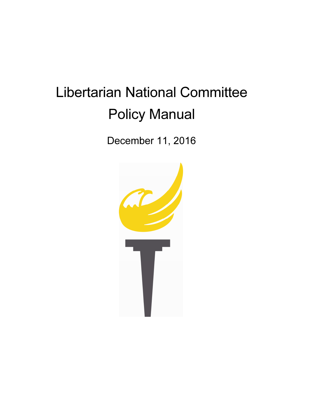# Libertarian National Committee Policy Manual

December 11, 2016

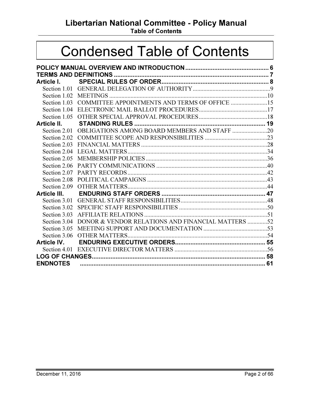Libertarian National Committee - Policy Manual

Table of Contents

# Condensed Table of Contents

| Article I.      |                                                            |  |
|-----------------|------------------------------------------------------------|--|
|                 |                                                            |  |
|                 |                                                            |  |
|                 | Section 1.03 COMMITTEE APPOINTMENTS AND TERMS OF OFFICE 15 |  |
|                 |                                                            |  |
|                 |                                                            |  |
| Article II.     |                                                            |  |
|                 | Section 2.01 OBLIGATIONS AMONG BOARD MEMBERS AND STAFF 20  |  |
|                 |                                                            |  |
|                 |                                                            |  |
| Section 2.04    |                                                            |  |
|                 |                                                            |  |
| Section 2.06    |                                                            |  |
| Section 2.07    |                                                            |  |
| Section 2.08    |                                                            |  |
|                 |                                                            |  |
|                 |                                                            |  |
|                 |                                                            |  |
|                 |                                                            |  |
| Section 3.03    |                                                            |  |
| Section 3.04    | DONOR & VENDOR RELATIONS AND FINANCIAL MATTERS 52          |  |
|                 |                                                            |  |
|                 |                                                            |  |
|                 |                                                            |  |
|                 |                                                            |  |
|                 |                                                            |  |
| <b>ENDNOTES</b> |                                                            |  |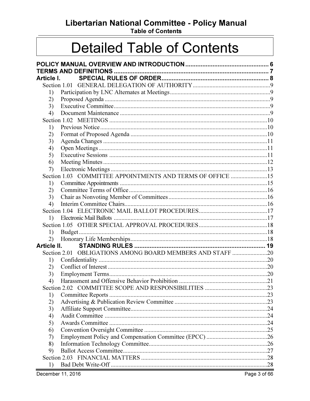Libertarian National Committee - Policy Manual

**Table of Contents** 

# **Detailed Table of Contents**

| Article I.                   |                                                            |  |
|------------------------------|------------------------------------------------------------|--|
|                              |                                                            |  |
| 1)                           |                                                            |  |
| 2)                           |                                                            |  |
| 3)                           |                                                            |  |
| 4)                           |                                                            |  |
|                              |                                                            |  |
| 1)                           |                                                            |  |
| 2)                           |                                                            |  |
| 3)                           |                                                            |  |
| 4)                           |                                                            |  |
| 5)                           |                                                            |  |
| 6)                           |                                                            |  |
| 7)                           |                                                            |  |
|                              | Section 1.03 COMMITTEE APPOINTMENTS AND TERMS OF OFFICE 15 |  |
| 1)                           |                                                            |  |
| 2)                           |                                                            |  |
| 3)                           |                                                            |  |
| 4)                           |                                                            |  |
|                              |                                                            |  |
| $\left( \frac{1}{2} \right)$ |                                                            |  |
|                              |                                                            |  |
| 1)                           |                                                            |  |
| 2)                           |                                                            |  |
| Article II.                  |                                                            |  |
|                              |                                                            |  |
| 1)                           |                                                            |  |
| 2)                           |                                                            |  |
| 3)                           |                                                            |  |
| 4)                           |                                                            |  |
|                              |                                                            |  |
| 1)                           |                                                            |  |
| 2)                           |                                                            |  |
| 3)                           |                                                            |  |
| 4)                           |                                                            |  |
| 5)                           |                                                            |  |
| 6)                           |                                                            |  |
| 7)                           |                                                            |  |
| 8)                           |                                                            |  |
| 9)                           |                                                            |  |
|                              |                                                            |  |
| 1)                           |                                                            |  |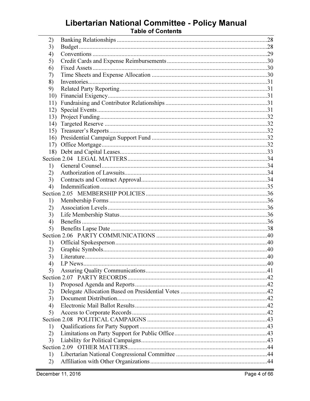# Libertarian National Committee - Policy Manual<br>Table of Contents

| 2)  |         |  |
|-----|---------|--|
| 3)  |         |  |
| 4)  |         |  |
| 5)  |         |  |
| 6)  |         |  |
| 7)  |         |  |
| 8)  |         |  |
| 9)  |         |  |
| 10) |         |  |
| 11) |         |  |
| 12) |         |  |
| 13) |         |  |
| 14) |         |  |
| 15) |         |  |
| 16) |         |  |
|     |         |  |
|     |         |  |
|     |         |  |
| 1)  |         |  |
| 2)  |         |  |
| 3)  |         |  |
| 4)  |         |  |
|     |         |  |
| 1)  |         |  |
| 2)  |         |  |
| 3)  |         |  |
| 4)  |         |  |
| 5)  |         |  |
|     |         |  |
| 1)  |         |  |
| 2)  |         |  |
| 3)  |         |  |
| 4)  | LP News |  |
| 5)  |         |  |
|     |         |  |
| 1)  |         |  |
| 2)  |         |  |
| 3)  |         |  |
| 4)  |         |  |
| 5)  |         |  |
|     |         |  |
| 1)  |         |  |
| 2)  |         |  |
| 3)  |         |  |
|     |         |  |
| 1)  |         |  |
| 2)  |         |  |
|     |         |  |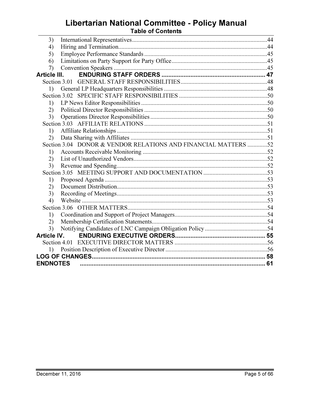# Libertarian National Committee - Policy Manual<br>Table of Contents

| 3)                 |                                                                |  |  |
|--------------------|----------------------------------------------------------------|--|--|
| 4)                 |                                                                |  |  |
| 5)                 |                                                                |  |  |
| 6)                 |                                                                |  |  |
| 7)                 |                                                                |  |  |
| Article III.       |                                                                |  |  |
|                    |                                                                |  |  |
| 1)                 |                                                                |  |  |
|                    |                                                                |  |  |
| 1)                 |                                                                |  |  |
| (2)                |                                                                |  |  |
| 3)                 |                                                                |  |  |
|                    |                                                                |  |  |
| 1)                 |                                                                |  |  |
| (2)                |                                                                |  |  |
|                    | Section 3.04 DONOR & VENDOR RELATIONS AND FINANCIAL MATTERS 52 |  |  |
| 1)                 |                                                                |  |  |
| 2)                 |                                                                |  |  |
| 3)                 |                                                                |  |  |
|                    |                                                                |  |  |
| 1)                 |                                                                |  |  |
| (2)                |                                                                |  |  |
| 3)                 |                                                                |  |  |
| 4)                 |                                                                |  |  |
|                    |                                                                |  |  |
| 1)                 |                                                                |  |  |
| (2)                |                                                                |  |  |
| 3)                 |                                                                |  |  |
| <b>Article IV.</b> |                                                                |  |  |
|                    |                                                                |  |  |
| 1)                 |                                                                |  |  |
|                    |                                                                |  |  |
| <b>ENDNOTES</b>    |                                                                |  |  |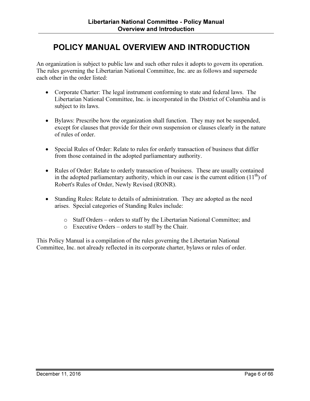## POLICY MANUAL OVERVIEW AND INTRODUCTION

An organization is subject to public law and such other rules it adopts to govern its operation. The rules governing the Libertarian National Committee, Inc. are as follows and supersede each other in the order listed:

- Corporate Charter: The legal instrument conforming to state and federal laws. The Libertarian National Committee, Inc. is incorporated in the District of Columbia and is subject to its laws.
- Bylaws: Prescribe how the organization shall function. They may not be suspended, except for clauses that provide for their own suspension or clauses clearly in the nature of rules of order.
- Special Rules of Order: Relate to rules for orderly transaction of business that differ from those contained in the adopted parliamentary authority.
- Rules of Order: Relate to orderly transaction of business. These are usually contained in the adopted parliamentary authority, which in our case is the current edition  $(11<sup>th</sup>)$  of Robert's Rules of Order, Newly Revised (RONR).
- Standing Rules: Relate to details of administration. They are adopted as the need arises. Special categories of Standing Rules include:
	- o Staff Orders orders to staff by the Libertarian National Committee; and
	- o Executive Orders orders to staff by the Chair.

This Policy Manual is a compilation of the rules governing the Libertarian National Committee, Inc. not already reflected in its corporate charter, bylaws or rules of order.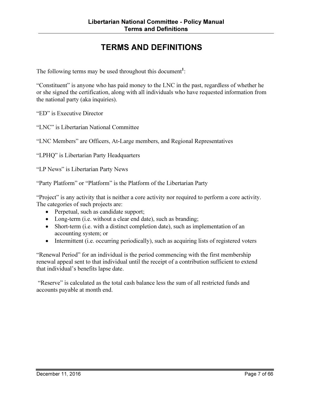# TERMS AND DEFINITIONS

The following terms may be used throughout this document<sup>1</sup>:

"Constituent" is anyone who has paid money to the LNC in the past, regardless of whether he or she signed the certification, along with all individuals who have requested information from the national party (aka inquiries).

"ED" is Executive Director

"LNC" is Libertarian National Committee

"LNC Members" are Officers, At-Large members, and Regional Representatives

"LPHQ" is Libertarian Party Headquarters

"LP News" is Libertarian Party News

"Party Platform" or "Platform" is the Platform of the Libertarian Party

"Project" is any activity that is neither a core activity nor required to perform a core activity. The categories of such projects are:

- Perpetual, such as candidate support;
- Long-term (i.e. without a clear end date), such as branding;
- Short-term (i.e. with a distinct completion date), such as implementation of an accounting system; or
- Intermittent (i.e. occurring periodically), such as acquiring lists of registered voters

"Renewal Period" for an individual is the period commencing with the first membership renewal appeal sent to that individual until the receipt of a contribution sufficient to extend that individual's benefits lapse date.

 "Reserve" is calculated as the total cash balance less the sum of all restricted funds and accounts payable at month end.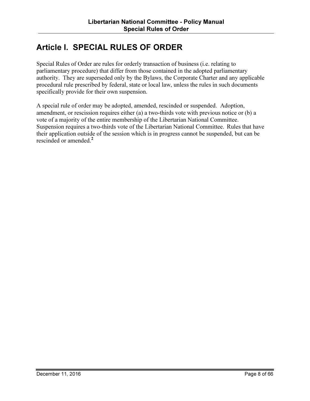## Article I. SPECIAL RULES OF ORDER

Special Rules of Order are rules for orderly transaction of business (i.e. relating to parliamentary procedure) that differ from those contained in the adopted parliamentary authority. They are superseded only by the Bylaws, the Corporate Charter and any applicable procedural rule prescribed by federal, state or local law, unless the rules in such documents specifically provide for their own suspension.

A special rule of order may be adopted, amended, rescinded or suspended. Adoption, amendment, or rescission requires either (a) a two-thirds vote with previous notice or (b) a vote of a majority of the entire membership of the Libertarian National Committee. Suspension requires a two-thirds vote of the Libertarian National Committee. Rules that have their application outside of the session which is in progress cannot be suspended, but can be rescinded or amended.<sup>2</sup>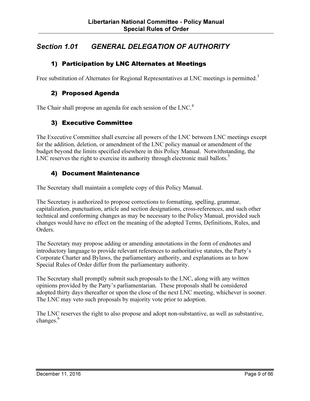## Section 1.01 GENERAL DELEGATION OF AUTHORITY

#### 1) Participation by LNC Alternates at Meetings

Free substitution of Alternates for Regional Representatives at LNC meetings is permitted.<sup>3</sup>

#### 2) Proposed Agenda

The Chair shall propose an agenda for each session of the LNC.<sup>4</sup>

#### 3) Executive Committee

The Executive Committee shall exercise all powers of the LNC between LNC meetings except for the addition, deletion, or amendment of the LNC policy manual or amendment of the budget beyond the limits specified elsewhere in this Policy Manual. Notwithstanding, the LNC reserves the right to exercise its authority through electronic mail ballots. $5$ 

#### 4) Document Maintenance

The Secretary shall maintain a complete copy of this Policy Manual.

The Secretary is authorized to propose corrections to formatting, spelling, grammar, capitalization, punctuation, article and section designations, cross-references, and such other technical and conforming changes as may be necessary to the Policy Manual, provided such changes would have no effect on the meaning of the adopted Terms, Definitions, Rules, and Orders.

The Secretary may propose adding or amending annotations in the form of endnotes and introductory language to provide relevant references to authoritative statutes, the Party's Corporate Charter and Bylaws, the parliamentary authority, and explanations as to how Special Rules of Order differ from the parliamentary authority.

The Secretary shall promptly submit such proposals to the LNC, along with any written opinions provided by the Party's parliamentarian. These proposals shall be considered adopted thirty days thereafter or upon the close of the next LNC meeting, whichever is sooner. The LNC may veto such proposals by majority vote prior to adoption.

The LNC reserves the right to also propose and adopt non-substantive, as well as substantive, changes.<sup>6</sup>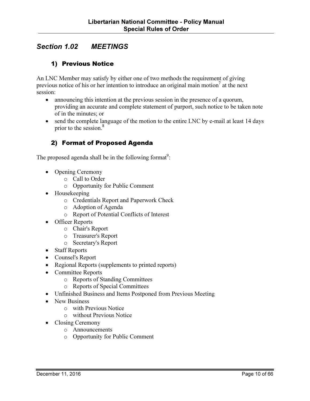## Section 1.02 MEETINGS

#### 1) Previous Notice

An LNC Member may satisfy by either one of two methods the requirement of giving previous notice of his or her intention to introduce an original main motion<sup>7</sup> at the next session:

- announcing this intention at the previous session in the presence of a quorum, providing an accurate and complete statement of purport, such notice to be taken note of in the minutes; or
- send the complete language of the motion to the entire LNC by e-mail at least 14 days prior to the session.<sup>8</sup>

#### 2) Format of Proposed Agenda

The proposed agenda shall be in the following format<sup>9</sup>:

- Opening Ceremony
	- o Call to Order
	- o Opportunity for Public Comment
- Housekeeping
	- o Credentials Report and Paperwork Check
	- o Adoption of Agenda
	- o Report of Potential Conflicts of Interest
- Officer Reports
	- o Chair's Report
	- o Treasurer's Report
	- o Secretary's Report
- Staff Reports
- Counsel's Report
- Regional Reports (supplements to printed reports)
- Committee Reports
	- o Reports of Standing Committees
	- o Reports of Special Committees
- Unfinished Business and Items Postponed from Previous Meeting
- New Business
	- o with Previous Notice
	- o without Previous Notice
- Closing Ceremony
	- o Announcements
	- o Opportunity for Public Comment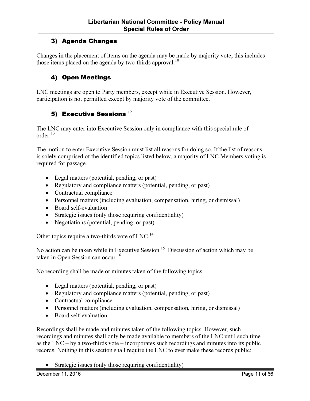#### 3) Agenda Changes

Changes in the placement of items on the agenda may be made by majority vote; this includes those items placed on the agenda by two-thirds approval.<sup>10</sup>

#### 4) Open Meetings

LNC meetings are open to Party members, except while in Executive Session. However, participation is not permitted except by majority vote of the committee.<sup>11</sup>

#### 5) Executive Sessions  $^{12}$

The LNC may enter into Executive Session only in compliance with this special rule of order. $13$ 

The motion to enter Executive Session must list all reasons for doing so. If the list of reasons is solely comprised of the identified topics listed below, a majority of LNC Members voting is required for passage.

- Legal matters (potential, pending, or past)
- Regulatory and compliance matters (potential, pending, or past)
- Contractual compliance
- Personnel matters (including evaluation, compensation, hiring, or dismissal)
- Board self-evaluation
- Strategic issues (only those requiring confidentiality)
- Negotiations (potential, pending, or past)

Other topics require a two-thirds vote of LNC.<sup>14</sup>

No action can be taken while in Executive Session.<sup>15</sup> Discussion of action which may be taken in Open Session can occur.<sup>16</sup>

No recording shall be made or minutes taken of the following topics:

- Legal matters (potential, pending, or past)
- Regulatory and compliance matters (potential, pending, or past)
- Contractual compliance
- Personnel matters (including evaluation, compensation, hiring, or dismissal)
- Board self-evaluation

Recordings shall be made and minutes taken of the following topics. However, such recordings and minutes shall only be made available to members of the LNC until such time as the LNC – by a two-thirds vote – incorporates such recordings and minutes into its public records. Nothing in this section shall require the LNC to ever make these records public:

• Strategic issues (only those requiring confidentiality)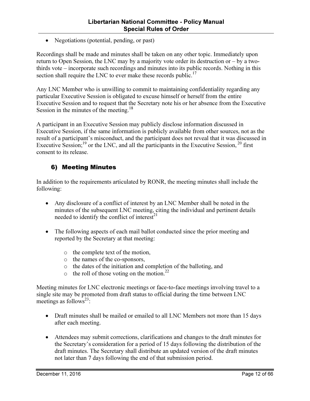• Negotiations (potential, pending, or past)

Recordings shall be made and minutes shall be taken on any other topic. Immediately upon return to Open Session, the LNC may by a majority vote order its destruction or – by a twothirds vote – incorporate such recordings and minutes into its public records. Nothing in this section shall require the LNC to ever make these records public. $17$ 

Any LNC Member who is unwilling to commit to maintaining confidentiality regarding any particular Executive Session is obligated to excuse himself or herself from the entire Executive Session and to request that the Secretary note his or her absence from the Executive Session in the minutes of the meeting.<sup>18</sup>

A participant in an Executive Session may publicly disclose information discussed in Executive Session, if the same information is publicly available from other sources, not as the result of a participant's misconduct, and the participant does not reveal that it was discussed in Executive Session;<sup>19</sup> or the LNC, and all the participants in the Executive Session,<sup>20</sup> first consent to its release.

#### 6) Meeting Minutes

In addition to the requirements articulated by RONR, the meeting minutes shall include the following:

- Any disclosure of a conflict of interest by an LNC Member shall be noted in the minutes of the subsequent LNC meeting, citing the individual and pertinent details needed to identify the conflict of interest $^{21}$
- The following aspects of each mail ballot conducted since the prior meeting and reported by the Secretary at that meeting:
	- o the complete text of the motion,
	- o the names of the co-sponsors,
	- o the dates of the initiation and completion of the balloting, and
	- $\circ$  the roll of those voting on the motion.<sup>22</sup>

Meeting minutes for LNC electronic meetings or face-to-face meetings involving travel to a single site may be promoted from draft status to official during the time between LNC meetings as follows<sup>23</sup>:

- Draft minutes shall be mailed or emailed to all LNC Members not more than 15 days after each meeting.
- Attendees may submit corrections, clarifications and changes to the draft minutes for the Secretary's consideration for a period of 15 days following the distribution of the draft minutes. The Secretary shall distribute an updated version of the draft minutes not later than 7 days following the end of that submission period.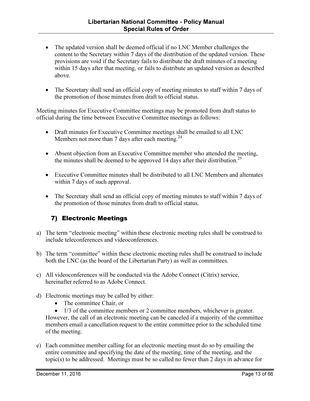- The updated version shall be deemed official if no LNC Member challenges the content to the Secretary within 7 days of the distribution of the updated version. These provisions are void if the Secretary fails to distribute the draft minutes of a meeting within 15 days after that meeting, or fails to distribute an updated version as described above.
- The Secretary shall send an official copy of meeting minutes to staff within 7 days of the promotion of those minutes from draft to official status.

Meeting minutes for Executive Committee meetings may be promoted from draft status to official during the time between Executive Committee meetings as follows:

- Draft minutes for Executive Committee meetings shall be emailed to all LNC Members not more than 7 days after each meeting.<sup>24</sup>
- Absent objection from an Executive Committee member who attended the meeting, the minutes shall be deemed to be approved 14 days after their distribution.<sup>25</sup>
- Executive Committee minutes shall be distributed to all LNC Members and alternates within 7 days of such approval.
- The Secretary shall send an official copy of meeting minutes to staff within 7 days of the promotion of those minutes from draft to official status.

#### 7) Electronic Meetings

- a) The term "electronic meeting" within these electronic meeting rules shall be construed to include teleconferences and videoconferences.
- b) The term "committee" within these electronic meeting rules shall be construed to include both the LNC (as the board of the Libertarian Party) as well as committees.
- c) All videoconferences will be conducted via the Adobe Connect (Citrix) service, hereinafter referred to as Adobe Connect.
- d) Electronic meetings may be called by either:
	- The committee Chair, or

• 1/3 of the committee members or 2 committee members, whichever is greater. However, the call of an electronic meeting can be canceled if a majority of the committee members email a cancellation request to the entire committee prior to the scheduled time of the meeting.

e) Each committee member calling for an electronic meeting must do so by emailing the entire committee and specifying the date of the meeting, time of the meeting, and the topic(s) to be addressed. Meetings must be so called no fewer than 2 days in advance for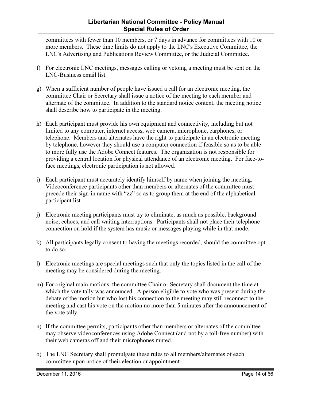#### Libertarian National Committee - Policy Manual Special Rules of Order

committees with fewer than 10 members, or 7 days in advance for committees with 10 or more members. These time limits do not apply to the LNC's Executive Committee, the LNC's Advertising and Publications Review Committee, or the Judicial Committee.

- f) For electronic LNC meetings, messages calling or vetoing a meeting must be sent on the LNC-Business email list.
- g) When a sufficient number of people have issued a call for an electronic meeting, the committee Chair or Secretary shall issue a notice of the meeting to each member and alternate of the committee. In addition to the standard notice content, the meeting notice shall describe how to participate in the meeting.
- h) Each participant must provide his own equipment and connectivity, including but not limited to any computer, internet access, web camera, microphone, earphones, or telephone. Members and alternates have the right to participate in an electronic meeting by telephone, however they should use a computer connection if feasible so as to be able to more fully use the Adobe Connect features. The organization is not responsible for providing a central location for physical attendance of an electronic meeting. For face-toface meetings, electronic participation is not allowed.
- i) Each participant must accurately identify himself by name when joining the meeting. Videoconference participants other than members or alternates of the committee must precede their sign-in name with "zz" so as to group them at the end of the alphabetical participant list.
- j) Electronic meeting participants must try to eliminate, as much as possible, background noise, echoes, and call waiting interruptions. Participants shall not place their telephone connection on hold if the system has music or messages playing while in that mode.
- k) All participants legally consent to having the meetings recorded, should the committee opt to do so.
- l) Electronic meetings are special meetings such that only the topics listed in the call of the meeting may be considered during the meeting.
- m) For original main motions, the committee Chair or Secretary shall document the time at which the vote tally was announced. A person eligible to vote who was present during the debate of the motion but who lost his connection to the meeting may still reconnect to the meeting and cast his vote on the motion no more than 5 minutes after the announcement of the vote tally.
- n) If the committee permits, participants other than members or alternates of the committee may observe videoconferences using Adobe Connect (and not by a toll-free number) with their web cameras off and their microphones muted.
- o) The LNC Secretary shall promulgate these rules to all members/alternates of each committee upon notice of their election or appointment.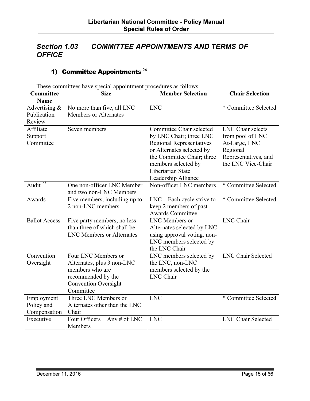## Section 1.03 COMMITTEE APPOINTMENTS AND TERMS OF **OFFICE**

## 1) Committee Appointments  $^{26}$

| Committee            | These committees have special appointment procedures as follows<br><b>Size</b> | <b>Member Selection</b>         | <b>Chair Selection</b>    |
|----------------------|--------------------------------------------------------------------------------|---------------------------------|---------------------------|
| Name                 |                                                                                |                                 |                           |
| Advertising &        | No more than five, all LNC                                                     | <b>LNC</b>                      | * Committee Selected      |
| Publication          | <b>Members or Alternates</b>                                                   |                                 |                           |
| Review               |                                                                                |                                 |                           |
| Affiliate            | Seven members                                                                  | Committee Chair selected        | LNC Chair selects         |
| Support              |                                                                                | by LNC Chair; three LNC         | from pool of LNC          |
| Committee            |                                                                                | <b>Regional Representatives</b> | At-Large, LNC             |
|                      |                                                                                | or Alternates selected by       | Regional                  |
|                      |                                                                                | the Committee Chair; three      | Representatives, and      |
|                      |                                                                                | members selected by             | the LNC Vice-Chair        |
|                      |                                                                                | Libertarian State               |                           |
|                      |                                                                                | Leadership Alliance             |                           |
| Audit $^{27}$        | One non-officer LNC Member                                                     | Non-officer LNC members         | * Committee Selected      |
|                      | and two non-LNC Members                                                        |                                 |                           |
| Awards               | Five members, including up to                                                  | $LNC$ – Each cycle strive to    | * Committee Selected      |
|                      | 2 non-LNC members                                                              | keep 2 members of past          |                           |
|                      |                                                                                | <b>Awards Committee</b>         |                           |
| <b>Ballot Access</b> | Five party members, no less                                                    | LNC Members or                  | <b>LNC</b> Chair          |
|                      | than three of which shall be                                                   | Alternates selected by LNC      |                           |
|                      | <b>LNC Members or Alternates</b>                                               | using approval voting, non-     |                           |
|                      |                                                                                | LNC members selected by         |                           |
|                      |                                                                                | the LNC Chair                   |                           |
| Convention           | Four LNC Members or                                                            | LNC members selected by         | <b>LNC Chair Selected</b> |
| Oversight            | Alternates, plus 3 non-LNC                                                     | the LNC, non-LNC                |                           |
|                      | members who are                                                                | members selected by the         |                           |
|                      | recommended by the                                                             | LNC Chair                       |                           |
|                      | <b>Convention Oversight</b>                                                    |                                 |                           |
|                      | Committee                                                                      |                                 |                           |
| Employment           | Three LNC Members or                                                           | <b>LNC</b>                      | * Committee Selected      |
| Policy and           | Alternates other than the LNC                                                  |                                 |                           |
| Compensation         | Chair                                                                          |                                 |                           |
| Executive            | Four Officers + Any $\#$ of LNC                                                | <b>LNC</b>                      | <b>LNC Chair Selected</b> |
|                      | Members                                                                        |                                 |                           |

These committees have special appointment procedures as follows: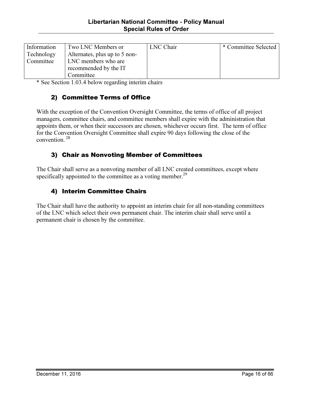| Information | Two LNC Members or            | LNC Chair | * Committee Selected |
|-------------|-------------------------------|-----------|----------------------|
| Technology  | Alternates, plus up to 5 non- |           |                      |
| Committee   | LNC members who are           |           |                      |
|             | recommended by the IT         |           |                      |
|             | Committee                     |           |                      |

\* See Section 1.03.4 below regarding interim chairs

#### 2) Committee Terms of Office

With the exception of the Convention Oversight Committee, the terms of office of all project managers, committee chairs, and committee members shall expire with the administration that appoints them, or when their successors are chosen, whichever occurs first. The term of office for the Convention Oversight Committee shall expire 90 days following the close of the convention.<sup>28</sup>

#### 3) Chair as Nonvoting Member of Committees

The Chair shall serve as a nonvoting member of all LNC created committees, except where specifically appointed to the committee as a voting member.<sup>29</sup>

#### 4) Interim Committee Chairs

The Chair shall have the authority to appoint an interim chair for all non-standing committees of the LNC which select their own permanent chair. The interim chair shall serve until a permanent chair is chosen by the committee.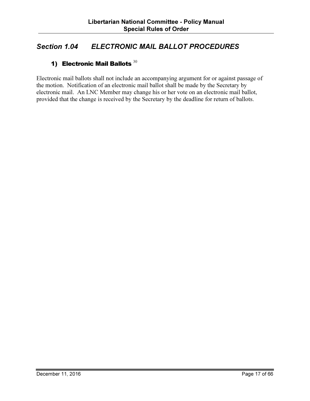## Section 1.04 ELECTRONIC MAIL BALLOT PROCEDURES

### 1) Electronic Mail Ballots  $30$

Electronic mail ballots shall not include an accompanying argument for or against passage of the motion. Notification of an electronic mail ballot shall be made by the Secretary by electronic mail. An LNC Member may change his or her vote on an electronic mail ballot, provided that the change is received by the Secretary by the deadline for return of ballots.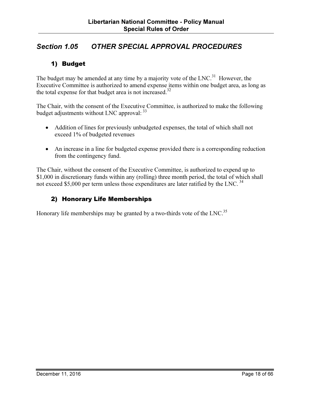## Section 1.05 OTHER SPECIAL APPROVAL PROCEDURES

#### 1) Budget

The budget may be amended at any time by a majority vote of the  $LNC<sup>31</sup>$  However, the Executive Committee is authorized to amend expense items within one budget area, as long as the total expense for that budget area is not increased.<sup>32</sup>

The Chair, with the consent of the Executive Committee, is authorized to make the following budget adjustments without LNC approval:  $33$ 

- Addition of lines for previously unbudgeted expenses, the total of which shall not exceed 1% of budgeted revenues
- An increase in a line for budgeted expense provided there is a corresponding reduction from the contingency fund.

The Chair, without the consent of the Executive Committee, is authorized to expend up to \$1,000 in discretionary funds within any (rolling) three month period, the total of which shall not exceed \$5,000 per term unless those expenditures are later ratified by the LNC.<sup>34</sup>

#### 2) Honorary Life Memberships

Honorary life memberships may be granted by a two-thirds vote of the LNC.<sup>35</sup>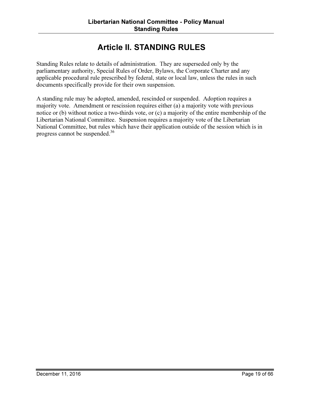# Article II. STANDING RULES

Standing Rules relate to details of administration. They are superseded only by the parliamentary authority, Special Rules of Order, Bylaws, the Corporate Charter and any applicable procedural rule prescribed by federal, state or local law, unless the rules in such documents specifically provide for their own suspension.

A standing rule may be adopted, amended, rescinded or suspended. Adoption requires a majority vote. Amendment or rescission requires either (a) a majority vote with previous notice or (b) without notice a two-thirds vote, or (c) a majority of the entire membership of the Libertarian National Committee. Suspension requires a majority vote of the Libertarian National Committee, but rules which have their application outside of the session which is in progress cannot be suspended.<sup>36</sup>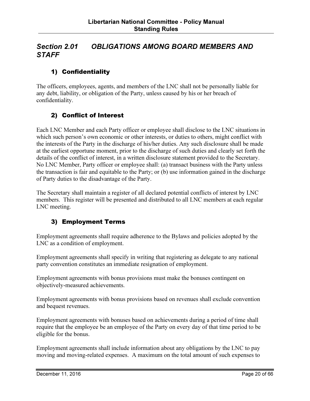### Section 2.01 OBLIGATIONS AMONG BOARD MEMBERS AND **STAFF**

### 1) Confidentiality

The officers, employees, agents, and members of the LNC shall not be personally liable for any debt, liability, or obligation of the Party, unless caused by his or her breach of confidentiality.

#### 2) Conflict of Interest

Each LNC Member and each Party officer or employee shall disclose to the LNC situations in which such person's own economic or other interests, or duties to others, might conflict with the interests of the Party in the discharge of his/her duties. Any such disclosure shall be made at the earliest opportune moment, prior to the discharge of such duties and clearly set forth the details of the conflict of interest, in a written disclosure statement provided to the Secretary. No LNC Member, Party officer or employee shall: (a) transact business with the Party unless the transaction is fair and equitable to the Party; or (b) use information gained in the discharge of Party duties to the disadvantage of the Party.

The Secretary shall maintain a register of all declared potential conflicts of interest by LNC members. This register will be presented and distributed to all LNC members at each regular LNC meeting.

#### 3) Employment Terms

Employment agreements shall require adherence to the Bylaws and policies adopted by the LNC as a condition of employment.

Employment agreements shall specify in writing that registering as delegate to any national party convention constitutes an immediate resignation of employment.

Employment agreements with bonus provisions must make the bonuses contingent on objectively-measured achievements.

Employment agreements with bonus provisions based on revenues shall exclude convention and bequest revenues.

Employment agreements with bonuses based on achievements during a period of time shall require that the employee be an employee of the Party on every day of that time period to be eligible for the bonus.

Employment agreements shall include information about any obligations by the LNC to pay moving and moving-related expenses. A maximum on the total amount of such expenses to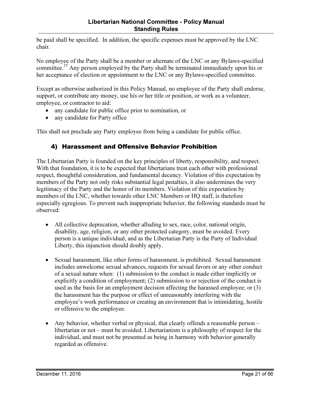be paid shall be specified. In addition, the specific expenses must be approved by the LNC chair.

No employee of the Party shall be a member or alternate of the LNC or any Bylaws-specified committee.<sup>37</sup> Any person employed by the Party shall be terminated immediately upon his or her acceptance of election or appointment to the LNC or any Bylaws-specified committee.

Except as otherwise authorized in this Policy Manual, no employee of the Party shall endorse, support, or contribute any money, use his or her title or position, or work as a volunteer, employee, or contractor to aid:

- any candidate for public office prior to nomination, or
- any candidate for Party office

This shall not preclude any Party employee from being a candidate for public office.

#### 4) Harassment and Offensive Behavior Prohibition

The Libertarian Party is founded on the key principles of liberty, responsibility, and respect. With that foundation, it is to be expected that libertarians treat each other with professional respect, thoughtful consideration, and fundamental decency. Violation of this expectation by members of the Party not only risks substantial legal penalties, it also undermines the very legitimacy of the Party and the honor of its members. Violation of this expectation by members of the LNC, whether towards other LNC Members or HQ staff, is therefore especially egregious. To prevent such inappropriate behavior, the following standards must be observed:

- All collective deprecation, whether alluding to sex, race, color, national origin, disability, age, religion, or any other protected category, must be avoided. Every person is a unique individual, and as the Libertarian Party is the Party of Individual Liberty, this injunction should doubly apply.
- Sexual harassment, like other forms of harassment, is prohibited. Sexual harassment includes unwelcome sexual advances, requests for sexual favors or any other conduct of a sexual nature when: (1) submission to the conduct is made either implicitly or explicitly a condition of employment; (2) submission to or rejection of the conduct is used as the basis for an employment decision affecting the harassed employee; or (3) the harassment has the purpose or effect of unreasonably interfering with the employee's work performance or creating an environment that is intimidating, hostile or offensive to the employee.
- Any behavior, whether verbal or physical, that clearly offends a reasonable person libertarian or not – must be avoided. Libertarianism is a philosophy of respect for the individual, and must not be presented as being in harmony with behavior generally regarded as offensive.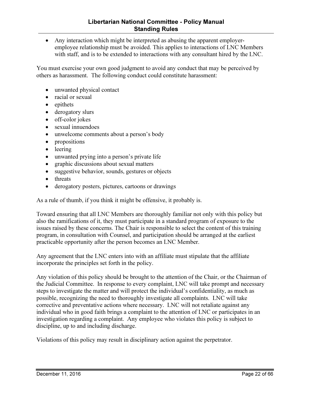• Any interaction which might be interpreted as abusing the apparent employeremployee relationship must be avoided. This applies to interactions of LNC Members with staff, and is to be extended to interactions with any consultant hired by the LNC.

You must exercise your own good judgment to avoid any conduct that may be perceived by others as harassment. The following conduct could constitute harassment:

- unwanted physical contact
- racial or sexual
- epithets
- derogatory slurs
- off-color jokes
- sexual innuendoes
- unwelcome comments about a person's body
- propositions
- leering
- unwanted prying into a person's private life
- graphic discussions about sexual matters
- suggestive behavior, sounds, gestures or objects
- threats
- derogatory posters, pictures, cartoons or drawings

As a rule of thumb, if you think it might be offensive, it probably is.

Toward ensuring that all LNC Members are thoroughly familiar not only with this policy but also the ramifications of it, they must participate in a standard program of exposure to the issues raised by these concerns. The Chair is responsible to select the content of this training program, in consultation with Counsel, and participation should be arranged at the earliest practicable opportunity after the person becomes an LNC Member.

Any agreement that the LNC enters into with an affiliate must stipulate that the affiliate incorporate the principles set forth in the policy.

Any violation of this policy should be brought to the attention of the Chair, or the Chairman of the Judicial Committee. In response to every complaint, LNC will take prompt and necessary steps to investigate the matter and will protect the individual's confidentiality, as much as possible, recognizing the need to thoroughly investigate all complaints. LNC will take corrective and preventative actions where necessary. LNC will not retaliate against any individual who in good faith brings a complaint to the attention of LNC or participates in an investigation regarding a complaint. Any employee who violates this policy is subject to discipline, up to and including discharge.

Violations of this policy may result in disciplinary action against the perpetrator.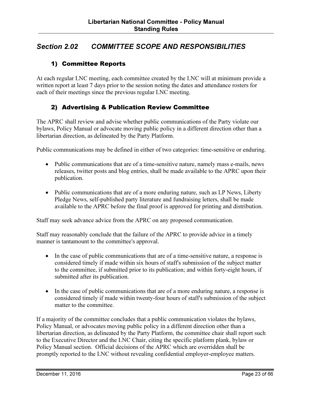## Section 2.02 COMMITTEE SCOPE AND RESPONSIBILITIES

#### 1) Committee Reports

At each regular LNC meeting, each committee created by the LNC will at minimum provide a written report at least 7 days prior to the session noting the dates and attendance rosters for each of their meetings since the previous regular LNC meeting.

#### 2) Advertising & Publication Review Committee

The APRC shall review and advise whether public communications of the Party violate our bylaws, Policy Manual or advocate moving public policy in a different direction other than a libertarian direction, as delineated by the Party Platform.

Public communications may be defined in either of two categories: time-sensitive or enduring.

- Public communications that are of a time-sensitive nature, namely mass e-mails, news releases, twitter posts and blog entries, shall be made available to the APRC upon their publication.
- Public communications that are of a more enduring nature, such as LP News, Liberty Pledge News, self-published party literature and fundraising letters, shall be made available to the APRC before the final proof is approved for printing and distribution.

Staff may seek advance advice from the APRC on any proposed communication.

Staff may reasonably conclude that the failure of the APRC to provide advice in a timely manner is tantamount to the committee's approval.

- In the case of public communications that are of a time-sensitive nature, a response is considered timely if made within six hours of staff's submission of the subject matter to the committee, if submitted prior to its publication; and within forty-eight hours, if submitted after its publication.
- In the case of public communications that are of a more enduring nature, a response is considered timely if made within twenty-four hours of staff's submission of the subject matter to the committee.

If a majority of the committee concludes that a public communication violates the bylaws, Policy Manual, or advocates moving public policy in a different direction other than a libertarian direction, as delineated by the Party Platform, the committee chair shall report such to the Executive Director and the LNC Chair, citing the specific platform plank, bylaw or Policy Manual section. Official decisions of the APRC which are overridden shall be promptly reported to the LNC without revealing confidential employer-employee matters.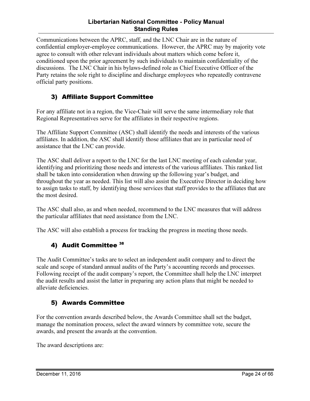#### Libertarian National Committee - Policy Manual Standing Rules

Communications between the APRC, staff, and the LNC Chair are in the nature of confidential employer-employee communications. However, the APRC may by majority vote agree to consult with other relevant individuals about matters which come before it, conditioned upon the prior agreement by such individuals to maintain confidentiality of the discussions. The LNC Chair in his bylaws-defined role as Chief Executive Officer of the Party retains the sole right to discipline and discharge employees who repeatedly contravene official party positions.

#### 3) Affiliate Support Committee

For any affiliate not in a region, the Vice-Chair will serve the same intermediary role that Regional Representatives serve for the affiliates in their respective regions.

The Affiliate Support Committee (ASC) shall identify the needs and interests of the various affiliates. In addition, the ASC shall identify those affiliates that are in particular need of assistance that the LNC can provide.

The ASC shall deliver a report to the LNC for the last LNC meeting of each calendar year, identifying and prioritizing those needs and interests of the various affiliates. This ranked list shall be taken into consideration when drawing up the following year's budget, and throughout the year as needed. This list will also assist the Executive Director in deciding how to assign tasks to staff, by identifying those services that staff provides to the affiliates that are the most desired.

The ASC shall also, as and when needed, recommend to the LNC measures that will address the particular affiliates that need assistance from the LNC.

The ASC will also establish a process for tracking the progress in meeting those needs.

#### 4) Audit Committee 38

The Audit Committee's tasks are to select an independent audit company and to direct the scale and scope of standard annual audits of the Party's accounting records and processes. Following receipt of the audit company's report, the Committee shall help the LNC interpret the audit results and assist the latter in preparing any action plans that might be needed to alleviate deficiencies.

#### 5) Awards Committee

For the convention awards described below, the Awards Committee shall set the budget, manage the nomination process, select the award winners by committee vote, secure the awards, and present the awards at the convention.

The award descriptions are: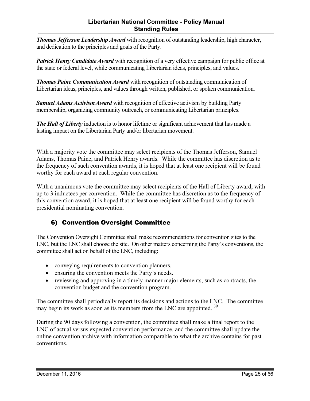#### Libertarian National Committee - Policy Manual Standing Rules

**Thomas Jefferson Leadership Award** with recognition of outstanding leadership, high character, and dedication to the principles and goals of the Party.

**Patrick Henry Candidate Award** with recognition of a very effective campaign for public office at the state or federal level, while communicating Libertarian ideas, principles, and values.

**Thomas Paine Communication Award** with recognition of outstanding communication of Libertarian ideas, principles, and values through written, published, or spoken communication.

Samuel Adams Activism Award with recognition of effective activism by building Party membership, organizing community outreach, or communicating Libertarian principles.

**The Hall of Liberty** induction is to honor lifetime or significant achievement that has made a lasting impact on the Libertarian Party and/or libertarian movement.

With a majority vote the committee may select recipients of the Thomas Jefferson, Samuel Adams, Thomas Paine, and Patrick Henry awards. While the committee has discretion as to the frequency of such convention awards, it is hoped that at least one recipient will be found worthy for each award at each regular convention.

With a unanimous vote the committee may select recipients of the Hall of Liberty award, with up to 3 inductees per convention. While the committee has discretion as to the frequency of this convention award, it is hoped that at least one recipient will be found worthy for each presidential nominating convention.

## 6) Convention Oversight Committee

The Convention Oversight Committee shall make recommendations for convention sites to the LNC, but the LNC shall choose the site. On other matters concerning the Party's conventions, the committee shall act on behalf of the LNC, including:

- conveying requirements to convention planners.
- ensuring the convention meets the Party's needs.
- reviewing and approving in a timely manner major elements, such as contracts, the convention budget and the convention program.

The committee shall periodically report its decisions and actions to the LNC. The committee may begin its work as soon as its members from the LNC are appointed.<sup>39</sup>

During the 90 days following a convention, the committee shall make a final report to the LNC of actual versus expected convention performance, and the committee shall update the online convention archive with information comparable to what the archive contains for past conventions.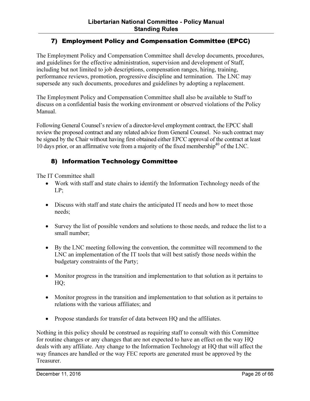#### 7) Employment Policy and Compensation Committee (EPCC)

The Employment Policy and Compensation Committee shall develop documents, procedures, and guidelines for the effective administration, supervision and development of Staff, including but not limited to job descriptions, compensation ranges, hiring, training, performance reviews, promotion, progressive discipline and termination. The LNC may supersede any such documents, procedures and guidelines by adopting a replacement.

The Employment Policy and Compensation Committee shall also be available to Staff to discuss on a confidential basis the working environment or observed violations of the Policy Manual.

Following General Counsel's review of a director-level employment contract, the EPCC shall review the proposed contract and any related advice from General Counsel. No such contract may be signed by the Chair without having first obtained either EPCC approval of the contract at least 10 days prior, or an affirmative vote from a majority of the fixed membership<sup>40</sup> of the LNC.

#### 8) Information Technology Committee

The IT Committee shall

- Work with staff and state chairs to identify the Information Technology needs of the LP;
- Discuss with staff and state chairs the anticipated IT needs and how to meet those needs;
- Survey the list of possible vendors and solutions to those needs, and reduce the list to a small number;
- By the LNC meeting following the convention, the committee will recommend to the LNC an implementation of the IT tools that will best satisfy those needs within the budgetary constraints of the Party;
- Monitor progress in the transition and implementation to that solution as it pertains to HQ;
- Monitor progress in the transition and implementation to that solution as it pertains to relations with the various affiliates; and
- Propose standards for transfer of data between HQ and the affiliates.

Nothing in this policy should be construed as requiring staff to consult with this Committee for routine changes or any changes that are not expected to have an effect on the way HQ deals with any affiliate. Any change to the Information Technology at HQ that will affect the way finances are handled or the way FEC reports are generated must be approved by the Treasurer.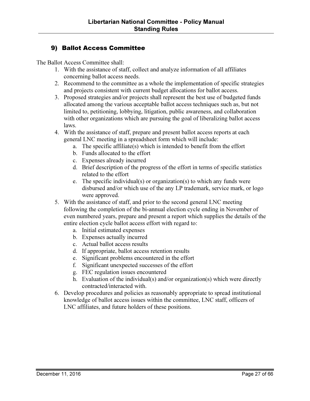#### 9) Ballot Access Committee

The Ballot Access Committee shall:

- 1. With the assistance of staff, collect and analyze information of all affiliates concerning ballot access needs.
- 2. Recommend to the committee as a whole the implementation of specific strategies and projects consistent with current budget allocations for ballot access.
- 3. Proposed strategies and/or projects shall represent the best use of budgeted funds allocated among the various acceptable ballot access techniques such as, but not limited to, petitioning, lobbying, litigation, public awareness, and collaboration with other organizations which are pursuing the goal of liberalizing ballot access laws.
- 4. With the assistance of staff, prepare and present ballot access reports at each general LNC meeting in a spreadsheet form which will include:
	- a. The specific affiliate(s) which is intended to benefit from the effort
	- b. Funds allocated to the effort
	- c. Expenses already incurred
	- d. Brief description of the progress of the effort in terms of specific statistics related to the effort
	- e. The specific individual(s) or organization(s) to which any funds were disbursed and/or which use of the any LP trademark, service mark, or logo were approved.
- 5. With the assistance of staff, and prior to the second general LNC meeting following the completion of the bi-annual election cycle ending in November of even numbered years, prepare and present a report which supplies the details of the entire election cycle ballot access effort with regard to:
	- a. Initial estimated expenses
	- b. Expenses actually incurred
	- c. Actual ballot access results
	- d. If appropriate, ballot access retention results
	- e. Significant problems encountered in the effort
	- f. Significant unexpected successes of the effort
	- g. FEC regulation issues encountered
	- h. Evaluation of the individual(s) and/or organization(s) which were directly contracted/interacted with.
- 6. Develop procedures and policies as reasonably appropriate to spread institutional knowledge of ballot access issues within the committee, LNC staff, officers of LNC affiliates, and future holders of these positions.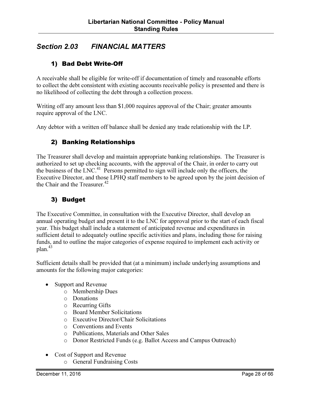## Section 2.03 FINANCIAL MATTERS

#### 1) Bad Debt Write-Off

A receivable shall be eligible for write-off if documentation of timely and reasonable efforts to collect the debt consistent with existing accounts receivable policy is presented and there is no likelihood of collecting the debt through a collection process.

Writing off any amount less than \$1,000 requires approval of the Chair; greater amounts require approval of the LNC.

Any debtor with a written off balance shall be denied any trade relationship with the LP.

#### 2) Banking Relationships

The Treasurer shall develop and maintain appropriate banking relationships. The Treasurer is authorized to set up checking accounts, with the approval of the Chair, in order to carry out the business of the LNC.<sup>41</sup> Persons permitted to sign will include only the officers, the Executive Director, and those LPHQ staff members to be agreed upon by the joint decision of the Chair and the Treasurer. $42$ 

#### 3) Budget

The Executive Committee, in consultation with the Executive Director, shall develop an annual operating budget and present it to the LNC for approval prior to the start of each fiscal year. This budget shall include a statement of anticipated revenue and expenditures in sufficient detail to adequately outline specific activities and plans, including those for raising funds, and to outline the major categories of expense required to implement each activity or plan.<sup>43</sup>

Sufficient details shall be provided that (at a minimum) include underlying assumptions and amounts for the following major categories:

- Support and Revenue
	- o Membership Dues
	- o Donations
	- o Recurring Gifts
	- o Board Member Solicitations
	- o Executive Director/Chair Solicitations
	- o Conventions and Events
	- o Publications, Materials and Other Sales
	- o Donor Restricted Funds (e.g. Ballot Access and Campus Outreach)
- Cost of Support and Revenue
	- o General Fundraising Costs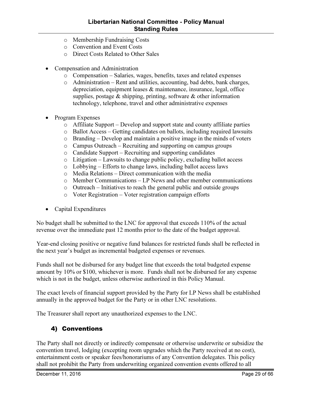- o Membership Fundraising Costs
- o Convention and Event Costs
- o Direct Costs Related to Other Sales
- Compensation and Administration
	- o Compensation Salaries, wages, benefits, taxes and related expenses
	- o Administration Rent and utilities, accounting, bad debts, bank charges, depreciation, equipment leases & maintenance, insurance, legal, office supplies, postage  $\&$  shipping, printing, software  $\&$  other information technology, telephone, travel and other administrative expenses
- Program Expenses
	- o Affiliate Support Develop and support state and county affiliate parties
	- o Ballot Access Getting candidates on ballots, including required lawsuits
	- o Branding Develop and maintain a positive image in the minds of voters
	- o Campus Outreach Recruiting and supporting on campus groups
	- o Candidate Support Recruiting and supporting candidates
	- o Litigation Lawsuits to change public policy, excluding ballot access
	- o Lobbying Efforts to change laws, including ballot access laws
	- o Media Relations Direct communication with the media
	- o Member Communications LP News and other member communications
	- o Outreach Initiatives to reach the general public and outside groups
	- o Voter Registration Voter registration campaign efforts
- Capital Expenditures

No budget shall be submitted to the LNC for approval that exceeds 110% of the actual revenue over the immediate past 12 months prior to the date of the budget approval.

Year-end closing positive or negative fund balances for restricted funds shall be reflected in the next year's budget as incremental budgeted expenses or revenues.

Funds shall not be disbursed for any budget line that exceeds the total budgeted expense amount by 10% or \$100, whichever is more. Funds shall not be disbursed for any expense which is not in the budget, unless otherwise authorized in this Policy Manual.

The exact levels of financial support provided by the Party for LP News shall be established annually in the approved budget for the Party or in other LNC resolutions.

The Treasurer shall report any unauthorized expenses to the LNC.

#### 4) Conventions

The Party shall not directly or indirectly compensate or otherwise underwrite or subsidize the convention travel, lodging (excepting room upgrades which the Party received at no cost), entertainment costs or speaker fees/honorariums of any Convention delegates. This policy shall not prohibit the Party from underwriting organized convention events offered to all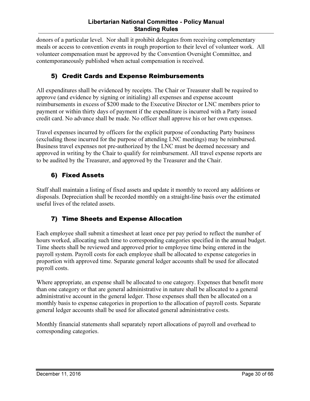donors of a particular level. Nor shall it prohibit delegates from receiving complementary meals or access to convention events in rough proportion to their level of volunteer work. All volunteer compensation must be approved by the Convention Oversight Committee, and contemporaneously published when actual compensation is received.

### 5) Credit Cards and Expense Reimbursements

All expenditures shall be evidenced by receipts. The Chair or Treasurer shall be required to approve (and evidence by signing or initialing) all expenses and expense account reimbursements in excess of \$200 made to the Executive Director or LNC members prior to payment or within thirty days of payment if the expenditure is incurred with a Party issued credit card. No advance shall be made. No officer shall approve his or her own expenses.

Travel expenses incurred by officers for the explicit purpose of conducting Party business (excluding those incurred for the purpose of attending LNC meetings) may be reimbursed. Business travel expenses not pre-authorized by the LNC must be deemed necessary and approved in writing by the Chair to qualify for reimbursement. All travel expense reports are to be audited by the Treasurer, and approved by the Treasurer and the Chair.

#### 6) Fixed Assets

Staff shall maintain a listing of fixed assets and update it monthly to record any additions or disposals. Depreciation shall be recorded monthly on a straight-line basis over the estimated useful lives of the related assets.

#### 7) Time Sheets and Expense Allocation

Each employee shall submit a timesheet at least once per pay period to reflect the number of hours worked, allocating such time to corresponding categories specified in the annual budget. Time sheets shall be reviewed and approved prior to employee time being entered in the payroll system. Payroll costs for each employee shall be allocated to expense categories in proportion with approved time. Separate general ledger accounts shall be used for allocated payroll costs.

Where appropriate, an expense shall be allocated to one category. Expenses that benefit more than one category or that are general administrative in nature shall be allocated to a general administrative account in the general ledger. Those expenses shall then be allocated on a monthly basis to expense categories in proportion to the allocation of payroll costs. Separate general ledger accounts shall be used for allocated general administrative costs.

Monthly financial statements shall separately report allocations of payroll and overhead to corresponding categories.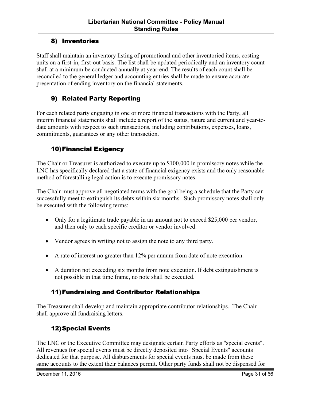#### 8) Inventories

Staff shall maintain an inventory listing of promotional and other inventoried items, costing units on a first-in, first-out basis. The list shall be updated periodically and an inventory count shall at a minimum be conducted annually at year-end. The results of each count shall be reconciled to the general ledger and accounting entries shall be made to ensure accurate presentation of ending inventory on the financial statements.

#### 9) Related Party Reporting

For each related party engaging in one or more financial transactions with the Party, all interim financial statements shall include a report of the status, nature and current and year-todate amounts with respect to such transactions, including contributions, expenses, loans, commitments, guarantees or any other transaction.

#### 10)Financial Exigency

The Chair or Treasurer is authorized to execute up to \$100,000 in promissory notes while the LNC has specifically declared that a state of financial exigency exists and the only reasonable method of forestalling legal action is to execute promissory notes.

The Chair must approve all negotiated terms with the goal being a schedule that the Party can successfully meet to extinguish its debts within six months. Such promissory notes shall only be executed with the following terms:

- Only for a legitimate trade payable in an amount not to exceed \$25,000 per vendor, and then only to each specific creditor or vendor involved.
- Vendor agrees in writing not to assign the note to any third party.
- A rate of interest no greater than 12% per annum from date of note execution.
- A duration not exceeding six months from note execution. If debt extinguishment is not possible in that time frame, no note shall be executed.

#### 11)Fundraising and Contributor Relationships

The Treasurer shall develop and maintain appropriate contributor relationships. The Chair shall approve all fundraising letters.

#### 12)Special Events

The LNC or the Executive Committee may designate certain Party efforts as "special events". All revenues for special events must be directly deposited into "Special Events" accounts dedicated for that purpose. All disbursements for special events must be made from these same accounts to the extent their balances permit. Other party funds shall not be dispensed for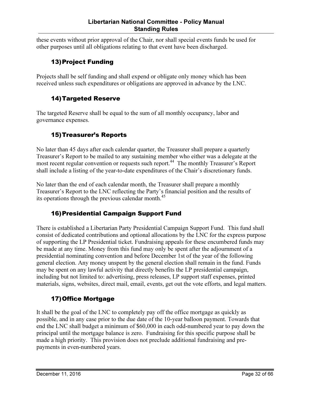#### Libertarian National Committee - Policy Manual Standing Rules

these events without prior approval of the Chair, nor shall special events funds be used for other purposes until all obligations relating to that event have been discharged.

#### 13)Project Funding

Projects shall be self funding and shall expend or obligate only money which has been received unless such expenditures or obligations are approved in advance by the LNC.

#### 14)Targeted Reserve

The targeted Reserve shall be equal to the sum of all monthly occupancy, labor and governance expenses.

#### 15)Treasurer's Reports

No later than 45 days after each calendar quarter, the Treasurer shall prepare a quarterly Treasurer's Report to be mailed to any sustaining member who either was a delegate at the most recent regular convention or requests such report.<sup>44</sup> The monthly Treasurer's Report shall include a listing of the year-to-date expenditures of the Chair's discretionary funds.

No later than the end of each calendar month, the Treasurer shall prepare a monthly Treasurer's Report to the LNC reflecting the Party's financial position and the results of its operations through the previous calendar month.<sup>45</sup>

#### 16)Presidential Campaign Support Fund

There is established a Libertarian Party Presidential Campaign Support Fund. This fund shall consist of dedicated contributions and optional allocations by the LNC for the express purpose of supporting the LP Presidential ticket. Fundraising appeals for these encumbered funds may be made at any time. Money from this fund may only be spent after the adjournment of a presidential nominating convention and before December 1st of the year of the following general election. Any money unspent by the general election shall remain in the fund. Funds may be spent on any lawful activity that directly benefits the LP presidential campaign, including but not limited to: advertising, press releases, LP support staff expenses, printed materials, signs, websites, direct mail, email, events, get out the vote efforts, and legal matters.

#### 17)Office Mortgage

It shall be the goal of the LNC to completely pay off the office mortgage as quickly as possible, and in any case prior to the due date of the 10-year balloon payment. Towards that end the LNC shall budget a minimum of \$60,000 in each odd-numbered year to pay down the principal until the mortgage balance is zero. Fundraising for this specific purpose shall be made a high priority. This provision does not preclude additional fundraising and prepayments in even-numbered years.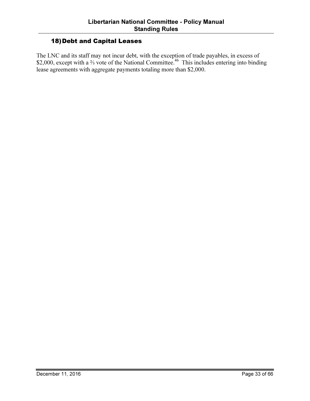#### 18)Debt and Capital Leases

The LNC and its staff may not incur debt, with the exception of trade payables, in excess of \$2,000, except with a <sup>2</sup>⁄<sub>3</sub> vote of the National Committee.<sup>46</sup> This includes entering into binding lease agreements with aggregate payments totaling more than \$2,000.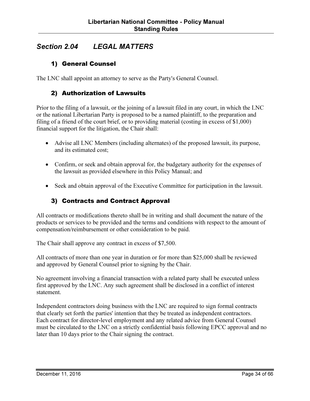## Section 2.04 LEGAL MATTERS

#### 1) General Counsel

The LNC shall appoint an attorney to serve as the Party's General Counsel.

#### 2) Authorization of Lawsuits

Prior to the filing of a lawsuit, or the joining of a lawsuit filed in any court, in which the LNC or the national Libertarian Party is proposed to be a named plaintiff, to the preparation and filing of a friend of the court brief, or to providing material (costing in excess of \$1,000) financial support for the litigation, the Chair shall:

- Advise all LNC Members (including alternates) of the proposed lawsuit, its purpose, and its estimated cost;
- Confirm, or seek and obtain approval for, the budgetary authority for the expenses of the lawsuit as provided elsewhere in this Policy Manual; and
- Seek and obtain approval of the Executive Committee for participation in the lawsuit.

#### 3) Contracts and Contract Approval

All contracts or modifications thereto shall be in writing and shall document the nature of the products or services to be provided and the terms and conditions with respect to the amount of compensation/reimbursement or other consideration to be paid.

The Chair shall approve any contract in excess of \$7,500.

All contracts of more than one year in duration or for more than \$25,000 shall be reviewed and approved by General Counsel prior to signing by the Chair.

No agreement involving a financial transaction with a related party shall be executed unless first approved by the LNC. Any such agreement shall be disclosed in a conflict of interest statement.

Independent contractors doing business with the LNC are required to sign formal contracts that clearly set forth the parties' intention that they be treated as independent contractors. Each contract for director-level employment and any related advice from General Counsel must be circulated to the LNC on a strictly confidential basis following EPCC approval and no later than 10 days prior to the Chair signing the contract.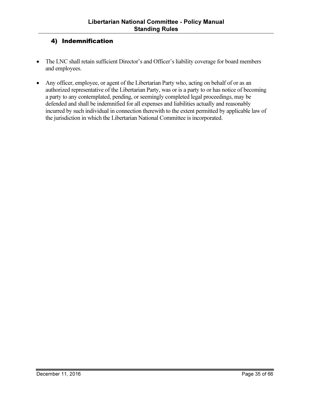#### 4) Indemnification

- The LNC shall retain sufficient Director's and Officer's liability coverage for board members and employees.
- Any officer, employee, or agent of the Libertarian Party who, acting on behalf of or as an authorized representative of the Libertarian Party, was or is a party to or has notice of becoming a party to any contemplated, pending, or seemingly completed legal proceedings, may be defended and shall be indemnified for all expenses and liabilities actually and reasonably incurred by such individual in connection therewith to the extent permitted by applicable law of the jurisdiction in which the Libertarian National Committee is incorporated.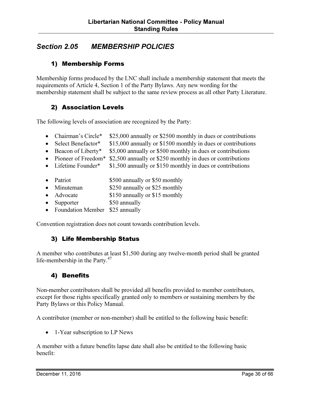## Section 2.05 MEMBERSHIP POLICIES

#### 1) Membership Forms

Membership forms produced by the LNC shall include a membership statement that meets the requirements of Article 4, Section 1 of the Party Bylaws. Any new wording for the membership statement shall be subject to the same review process as all other Party Literature.

#### 2) Association Levels

The following levels of association are recognized by the Party:

- Chairman's Circle\* \$25,000 annually or \$2500 monthly in dues or contributions
- Select Benefactor\* \$15,000 annually or \$1500 monthly in dues or contributions
- Beacon of Liberty\* \$5,000 annually or \$500 monthly in dues or contributions
- Pioneer of Freedom<sup>\*</sup> \$2,500 annually or \$250 monthly in dues or contributions
- Lifetime Founder\*  $$1,500$  annually or \$150 monthly in dues or contributions
- Patriot \$500 annually or \$50 monthly
- Minuteman \$250 annually or \$25 monthly
- Advocate \$150 annually or \$15 monthly
- Supporter \$50 annually
- Foundation Member \$25 annually

Convention registration does not count towards contribution levels.

#### 3) Life Membership Status

A member who contributes at least \$1,500 during any twelve-month period shall be granted life-membership in the Party. $47$ 

#### 4) Benefits

Non-member contributors shall be provided all benefits provided to member contributors, except for those rights specifically granted only to members or sustaining members by the Party Bylaws or this Policy Manual.

A contributor (member or non-member) shall be entitled to the following basic benefit:

• 1-Year subscription to LP News

A member with a future benefits lapse date shall also be entitled to the following basic benefit: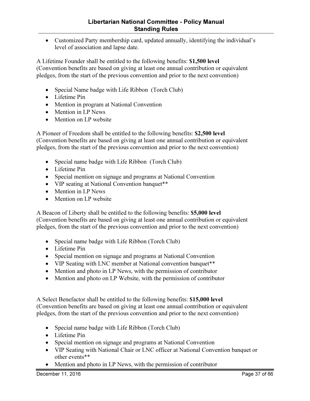• Customized Party membership card, updated annually, identifying the individual's level of association and lapse date.

A Lifetime Founder shall be entitled to the following benefits: \$1,500 level (Convention benefits are based on giving at least one annual contribution or equivalent pledges, from the start of the previous convention and prior to the next convention)

- Special Name badge with Life Ribbon (Torch Club)
- Lifetime Pin
- Mention in program at National Convention
- Mention in LP News
- Mention on LP website

A Pioneer of Freedom shall be entitled to the following benefits: \$2,500 level (Convention benefits are based on giving at least one annual contribution or equivalent pledges, from the start of the previous convention and prior to the next convention)

- Special name badge with Life Ribbon (Torch Club)
- Lifetime Pin
- Special mention on signage and programs at National Convention
- VIP seating at National Convention banquet\*\*
- Mention in LP News
- Mention on LP website

A Beacon of Liberty shall be entitled to the following benefits: \$5,000 level (Convention benefits are based on giving at least one annual contribution or equivalent pledges, from the start of the previous convention and prior to the next convention)

- Special name badge with Life Ribbon (Torch Club)
- Lifetime Pin
- Special mention on signage and programs at National Convention
- VIP Seating with LNC member at National convention banquet\*\*
- Mention and photo in LP News, with the permission of contributor
- Mention and photo on LP Website, with the permission of contributor

A Select Benefactor shall be entitled to the following benefits: \$15,000 level (Convention benefits are based on giving at least one annual contribution or equivalent pledges, from the start of the previous convention and prior to the next convention)

- Special name badge with Life Ribbon (Torch Club)
- Lifetime Pin
- Special mention on signage and programs at National Convention
- VIP Seating with National Chair or LNC officer at National Convention banquet or other events\*\*
- Mention and photo in LP News, with the permission of contributor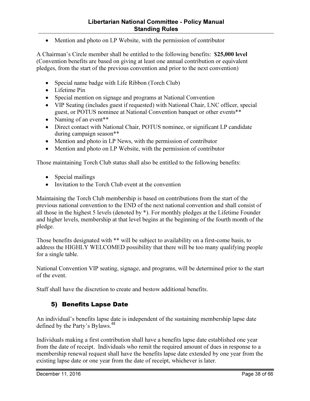• Mention and photo on LP Website, with the permission of contributor

A Chairman's Circle member shall be entitled to the following benefits: \$25,000 level (Convention benefits are based on giving at least one annual contribution or equivalent pledges, from the start of the previous convention and prior to the next convention)

- Special name badge with Life Ribbon (Torch Club)
- Lifetime Pin
- Special mention on signage and programs at National Convention
- VIP Seating (includes guest if requested) with National Chair, LNC officer, special guest, or POTUS nominee at National Convention banquet or other events\*\*
- Naming of an event\*\*
- Direct contact with National Chair, POTUS nominee, or significant LP candidate during campaign season\*\*
- Mention and photo in LP News, with the permission of contributor
- Mention and photo on LP Website, with the permission of contributor

Those maintaining Torch Club status shall also be entitled to the following benefits:

- Special mailings
- Invitation to the Torch Club event at the convention

Maintaining the Torch Club membership is based on contributions from the start of the previous national convention to the END of the next national convention and shall consist of all those in the highest 5 levels (denoted by \*). For monthly pledges at the Lifetime Founder and higher levels, membership at that level begins at the beginning of the fourth month of the pledge.

Those benefits designated with \*\* will be subject to availability on a first-come basis, to address the HIGHLY WELCOMED possibility that there will be too many qualifying people for a single table.

National Convention VIP seating, signage, and programs, will be determined prior to the start of the event.

Staff shall have the discretion to create and bestow additional benefits.

#### 5) Benefits Lapse Date

An individual's benefits lapse date is independent of the sustaining membership lapse date defined by the Party's Bylaws.<sup>48</sup>

Individuals making a first contribution shall have a benefits lapse date established one year from the date of receipt. Individuals who remit the required amount of dues in response to a membership renewal request shall have the benefits lapse date extended by one year from the existing lapse date or one year from the date of receipt, whichever is later.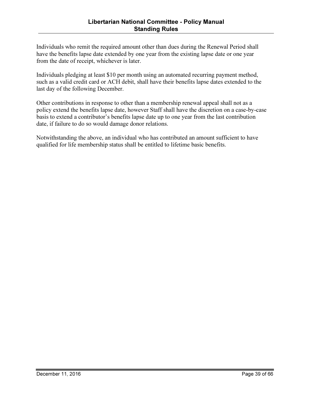Individuals who remit the required amount other than dues during the Renewal Period shall have the benefits lapse date extended by one year from the existing lapse date or one year from the date of receipt, whichever is later.

Individuals pledging at least \$10 per month using an automated recurring payment method, such as a valid credit card or ACH debit, shall have their benefits lapse dates extended to the last day of the following December.

Other contributions in response to other than a membership renewal appeal shall not as a policy extend the benefits lapse date, however Staff shall have the discretion on a case-by-case basis to extend a contributor's benefits lapse date up to one year from the last contribution date, if failure to do so would damage donor relations.

Notwithstanding the above, an individual who has contributed an amount sufficient to have qualified for life membership status shall be entitled to lifetime basic benefits.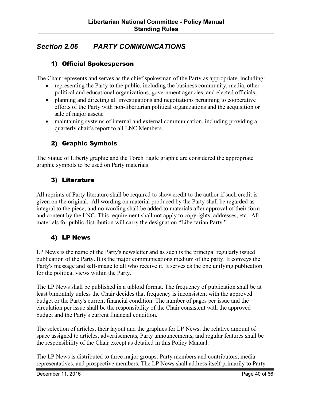## Section 2.06 PARTY COMMUNICATIONS

#### 1) Official Spokesperson

The Chair represents and serves as the chief spokesman of the Party as appropriate, including:

- representing the Party to the public, including the business community, media, other political and educational organizations, government agencies, and elected officials;
- planning and directing all investigations and negotiations pertaining to cooperative efforts of the Party with non-libertarian political organizations and the acquisition or sale of major assets;
- maintaining systems of internal and external communication, including providing a quarterly chair's report to all LNC Members.

#### 2) Graphic Symbols

The Statue of Liberty graphic and the Torch Eagle graphic are considered the appropriate graphic symbols to be used on Party materials.

#### 3) Literature

All reprints of Party literature shall be required to show credit to the author if such credit is given on the original. All wording on material produced by the Party shall be regarded as integral to the piece, and no wording shall be added to materials after approval of their form and content by the LNC. This requirement shall not apply to copyrights, addresses, etc. All materials for public distribution will carry the designation "Libertarian Party."

#### 4) LP News

LP News is the name of the Party's newsletter and as such is the principal regularly issued publication of the Party. It is the major communications medium of the party. It conveys the Party's message and self-image to all who receive it. It serves as the one unifying publication for the political views within the Party.

The LP News shall be published in a tabloid format. The frequency of publication shall be at least bimonthly unless the Chair decides that frequency is inconsistent with the approved budget or the Party's current financial condition. The number of pages per issue and the circulation per issue shall be the responsibility of the Chair consistent with the approved budget and the Party's current financial condition.

The selection of articles, their layout and the graphics for LP News, the relative amount of space assigned to articles, advertisements, Party announcements, and regular features shall be the responsibility of the Chair except as detailed in this Policy Manual.

The LP News is distributed to three major groups: Party members and contributors, media representatives, and prospective members. The LP News shall address itself primarily to Party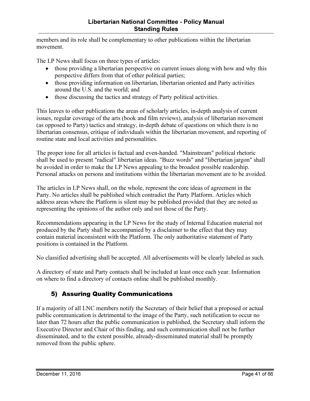members and its role shall be complementary to other publications within the libertarian movement.

The LP News shall focus on three types of articles:

- those providing a libertarian perspective on current issues along with how and why this perspective differs from that of other political parties;
- those providing information on libertarian, libertarian oriented and Party activities around the U.S. and the world; and
- those discussing the tactics and strategy of Party political activities.

This leaves to other publications the areas of scholarly articles, in-depth analysis of current issues, regular coverage of the arts (book and film reviews), analysis of libertarian movement (as opposed to Party) tactics and strategy, in-depth debate of questions on which there is no libertarian consensus, critique of individuals within the libertarian movement, and reporting of routine state and local activities and personalities.

The proper tone for all articles is factual and even-handed. "Mainstream" political rhetoric shall be used to present "radical" libertarian ideas. "Buzz words" and "libertarian jargon" shall be avoided in order to make the LP News appealing to the broadest possible readership. Personal attacks on persons and institutions within the libertarian movement are to be avoided.

The articles in LP News shall, on the whole, represent the core ideas of agreement in the Party. No articles shall be published which contradict the Party Platform. Articles which address areas where the Platform is silent may be published provided that they are noted as representing the opinions of the author only and not those of the Party.

Recommendations appearing in the LP News for the study of Internal Education material not produced by the Party shall be accompanied by a disclaimer to the effect that they may contain material inconsistent with the Platform. The only authoritative statement of Party positions is contained in the Platform.

No classified advertising shall be accepted. All advertisements will be clearly labeled as such.

A directory of state and Party contacts shall be included at least once each year. Information on where to find a directory of contacts online shall be published monthly.

## 5) Assuring Quality Communications

If a majority of all LNC members notify the Secretary of their belief that a proposed or actual public communication is detrimental to the image of the Party, such notification to occur no later than 72 hours after the public communication is published, the Secretary shall inform the Executive Director and Chair of this finding, and such communication shall not be further disseminated, and to the extent possible, already-disseminated material shall be promptly removed from the public sphere.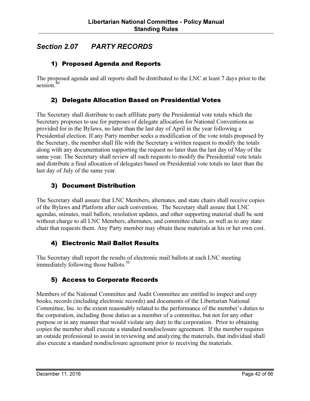## Section 2.07 PARTY RECORDS

#### 1) Proposed Agenda and Reports

The proposed agenda and all reports shall be distributed to the LNC at least 7 days prior to the session.<sup>49</sup>

#### 2) Delegate Allocation Based on Presidential Votes

The Secretary shall distribute to each affiliate party the Presidential vote totals which the Secretary proposes to use for purposes of delegate allocation for National Conventions as provided for in the Bylaws, no later than the last day of April in the year following a Presidential election. If any Party member seeks a modification of the vote totals proposed by the Secretary, the member shall file with the Secretary a written request to modify the totals along with any documentation supporting the request no later than the last day of May of the same year. The Secretary shall review all such requests to modify the Presidential vote totals and distribute a final allocation of delegates based on Presidential vote totals no later than the last day of July of the same year.

#### 3) Document Distribution

The Secretary shall assure that LNC Members, alternates, and state chairs shall receive copies of the Bylaws and Platform after each convention. The Secretary shall assure that LNC agendas, minutes, mail ballots, resolution updates, and other supporting material shall be sent without charge to all LNC Members, alternates, and committee chairs, as well as to any state chair that requests them. Any Party member may obtain these materials at his or her own cost.

#### 4) Electronic Mail Ballot Results

The Secretary shall report the results of electronic mail ballots at each LNC meeting immediately following those ballots. $50$ 

#### 5) Access to Corporate Records

Members of the National Committee and Audit Committee are entitled to inspect and copy books, records (including electronic records) and documents of the Libertarian National Committee, Inc. to the extent reasonably related to the performance of the member's duties to the corporation, including those duties as a member of a committee, but not for any other purpose or in any manner that would violate any duty to the corporation. Prior to obtaining copies the member shall execute a standard nondisclosure agreement. If the member requires an outside professional to assist in reviewing and analyzing the materials, that individual shall also execute a standard nondisclosure agreement prior to receiving the materials.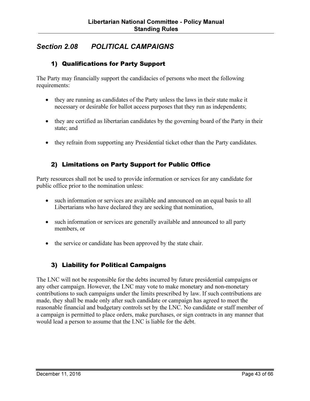## Section 2.08 POLITICAL CAMPAIGNS

#### 1) Qualifications for Party Support

The Party may financially support the candidacies of persons who meet the following requirements:

- they are running as candidates of the Party unless the laws in their state make it necessary or desirable for ballot access purposes that they run as independents;
- they are certified as libertarian candidates by the governing board of the Party in their state; and
- they refrain from supporting any Presidential ticket other than the Party candidates.

#### 2) Limitations on Party Support for Public Office

Party resources shall not be used to provide information or services for any candidate for public office prior to the nomination unless:

- such information or services are available and announced on an equal basis to all Libertarians who have declared they are seeking that nomination,
- such information or services are generally available and announced to all party members, or
- the service or candidate has been approved by the state chair.

#### 3) Liability for Political Campaigns

The LNC will not be responsible for the debts incurred by future presidential campaigns or any other campaign. However, the LNC may vote to make monetary and non-monetary contributions to such campaigns under the limits prescribed by law. If such contributions are made, they shall be made only after such candidate or campaign has agreed to meet the reasonable financial and budgetary controls set by the LNC. No candidate or staff member of a campaign is permitted to place orders, make purchases, or sign contracts in any manner that would lead a person to assume that the LNC is liable for the debt.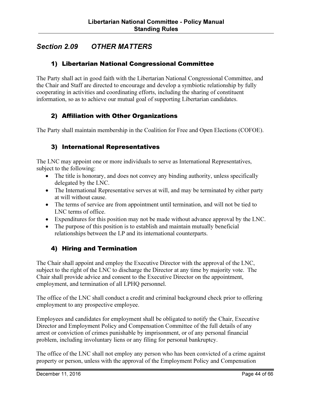## Section 2.09 OTHER MATTERS

#### 1) Libertarian National Congressional Committee

The Party shall act in good faith with the Libertarian National Congressional Committee, and the Chair and Staff are directed to encourage and develop a symbiotic relationship by fully cooperating in activities and coordinating efforts, including the sharing of constituent information, so as to achieve our mutual goal of supporting Libertarian candidates.

#### 2) Affiliation with Other Organizations

The Party shall maintain membership in the Coalition for Free and Open Elections (COFOE).

#### 3) International Representatives

The LNC may appoint one or more individuals to serve as International Representatives, subject to the following:

- The title is honorary, and does not convey any binding authority, unless specifically delegated by the LNC.
- The International Representative serves at will, and may be terminated by either party at will without cause.
- The terms of service are from appointment until termination, and will not be tied to LNC terms of office.
- Expenditures for this position may not be made without advance approval by the LNC.
- The purpose of this position is to establish and maintain mutually beneficial relationships between the LP and its international counterparts.

#### 4) Hiring and Termination

The Chair shall appoint and employ the Executive Director with the approval of the LNC, subject to the right of the LNC to discharge the Director at any time by majority vote. The Chair shall provide advice and consent to the Executive Director on the appointment, employment, and termination of all LPHQ personnel.

The office of the LNC shall conduct a credit and criminal background check prior to offering employment to any prospective employee.

Employees and candidates for employment shall be obligated to notify the Chair, Executive Director and Employment Policy and Compensation Committee of the full details of any arrest or conviction of crimes punishable by imprisonment, or of any personal financial problem, including involuntary liens or any filing for personal bankruptcy.

The office of the LNC shall not employ any person who has been convicted of a crime against property or person, unless with the approval of the Employment Policy and Compensation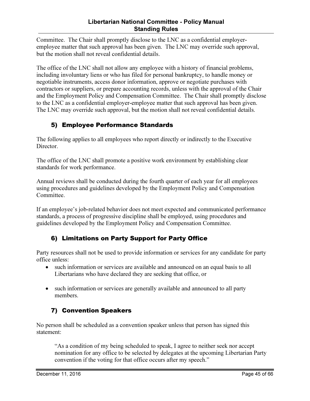Committee. The Chair shall promptly disclose to the LNC as a confidential employeremployee matter that such approval has been given. The LNC may override such approval, but the motion shall not reveal confidential details.

The office of the LNC shall not allow any employee with a history of financial problems, including involuntary liens or who has filed for personal bankruptcy, to handle money or negotiable instruments, access donor information, approve or negotiate purchases with contractors or suppliers, or prepare accounting records, unless with the approval of the Chair and the Employment Policy and Compensation Committee. The Chair shall promptly disclose to the LNC as a confidential employer-employee matter that such approval has been given. The LNC may override such approval, but the motion shall not reveal confidential details.

### 5) Employee Performance Standards

The following applies to all employees who report directly or indirectly to the Executive Director.

The office of the LNC shall promote a positive work environment by establishing clear standards for work performance.

Annual reviews shall be conducted during the fourth quarter of each year for all employees using procedures and guidelines developed by the Employment Policy and Compensation Committee.

If an employee's job-related behavior does not meet expected and communicated performance standards, a process of progressive discipline shall be employed, using procedures and guidelines developed by the Employment Policy and Compensation Committee.

#### 6) Limitations on Party Support for Party Office

Party resources shall not be used to provide information or services for any candidate for party office unless:

- such information or services are available and announced on an equal basis to all Libertarians who have declared they are seeking that office, or
- such information or services are generally available and announced to all party members.

## 7) Convention Speakers

No person shall be scheduled as a convention speaker unless that person has signed this statement:

"As a condition of my being scheduled to speak, I agree to neither seek nor accept nomination for any office to be selected by delegates at the upcoming Libertarian Party convention if the voting for that office occurs after my speech."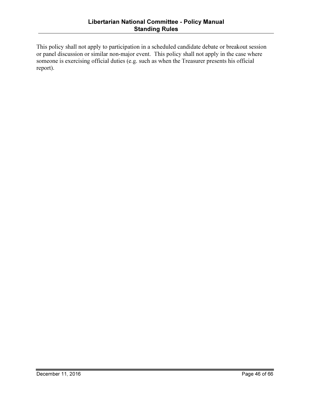This policy shall not apply to participation in a scheduled candidate debate or breakout session or panel discussion or similar non-major event. This policy shall not apply in the case where someone is exercising official duties (e.g. such as when the Treasurer presents his official report).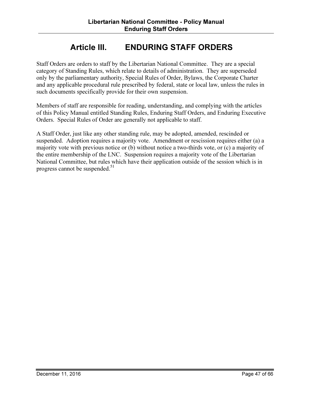## Article III. ENDURING STAFF ORDERS

Staff Orders are orders to staff by the Libertarian National Committee. They are a special category of Standing Rules, which relate to details of administration. They are superseded only by the parliamentary authority, Special Rules of Order, Bylaws, the Corporate Charter and any applicable procedural rule prescribed by federal, state or local law, unless the rules in such documents specifically provide for their own suspension.

Members of staff are responsible for reading, understanding, and complying with the articles of this Policy Manual entitled Standing Rules, Enduring Staff Orders, and Enduring Executive Orders. Special Rules of Order are generally not applicable to staff.

A Staff Order, just like any other standing rule, may be adopted, amended, rescinded or suspended. Adoption requires a majority vote. Amendment or rescission requires either (a) a majority vote with previous notice or (b) without notice a two-thirds vote, or (c) a majority of the entire membership of the LNC. Suspension requires a majority vote of the Libertarian National Committee, but rules which have their application outside of the session which is in progress cannot be suspended. $51$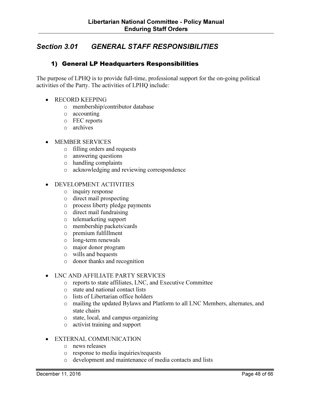## Section 3.01 GENERAL STAFF RESPONSIBILITIES

#### 1) General LP Headquarters Responsibilities

The purpose of LPHQ is to provide full-time, professional support for the on-going political activities of the Party. The activities of LPHQ include:

- RECORD KEEPING
	- o membership/contributor database
	- o accounting
	- o FEC reports
	- o archives
- MEMBER SERVICES
	- o filling orders and requests
	- o answering questions
	- o handling complaints
	- o acknowledging and reviewing correspondence
- DEVELOPMENT ACTIVITIES
	- o inquiry response
	- o direct mail prospecting
	- o process liberty pledge payments
	- o direct mail fundraising
	- o telemarketing support
	- o membership packets/cards
	- o premium fulfillment
	- o long-term renewals
	- o major donor program
	- o wills and bequests
	- o donor thanks and recognition

#### • LNC AND AFFILIATE PARTY SERVICES

- o reports to state affiliates, LNC, and Executive Committee
- o state and national contact lists
- o lists of Libertarian office holders
- o mailing the updated Bylaws and Platform to all LNC Members, alternates, and state chairs
- o state, local, and campus organizing
- o activist training and support

#### • EXTERNAL COMMUNICATION

- o news releases
- o response to media inquiries/requests
- o development and maintenance of media contacts and lists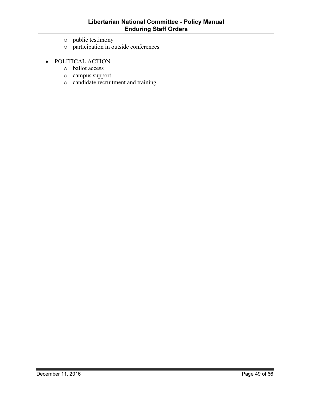- o public testimony
- o participation in outside conferences
- POLITICAL ACTION
	- o ballot access
	- o campus support
	- o candidate recruitment and training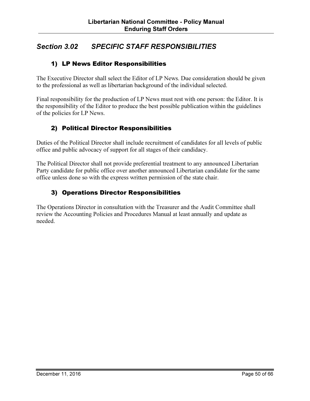## Section 3.02 SPECIFIC STAFF RESPONSIBILITIES

#### 1) LP News Editor Responsibilities

The Executive Director shall select the Editor of LP News. Due consideration should be given to the professional as well as libertarian background of the individual selected.

Final responsibility for the production of LP News must rest with one person: the Editor. It is the responsibility of the Editor to produce the best possible publication within the guidelines of the policies for LP News.

#### 2) Political Director Responsibilities

Duties of the Political Director shall include recruitment of candidates for all levels of public office and public advocacy of support for all stages of their candidacy.

The Political Director shall not provide preferential treatment to any announced Libertarian Party candidate for public office over another announced Libertarian candidate for the same office unless done so with the express written permission of the state chair.

#### 3) Operations Director Responsibilities

The Operations Director in consultation with the Treasurer and the Audit Committee shall review the Accounting Policies and Procedures Manual at least annually and update as needed.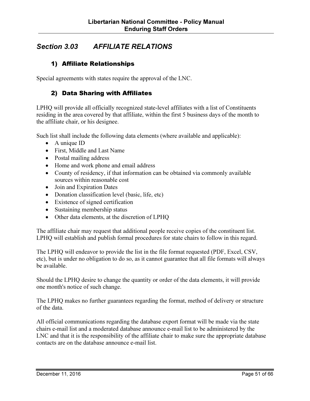## Section 3.03 AFFILIATE RELATIONS

#### 1) Affiliate Relationships

Special agreements with states require the approval of the LNC.

#### 2) Data Sharing with Affiliates

LPHQ will provide all officially recognized state-level affiliates with a list of Constituents residing in the area covered by that affiliate, within the first 5 business days of the month to the affiliate chair, or his designee.

Such list shall include the following data elements (where available and applicable):

- A unique ID
- First, Middle and Last Name
- Postal mailing address
- Home and work phone and email address
- County of residency, if that information can be obtained via commonly available sources within reasonable cost
- Join and Expiration Dates
- Donation classification level (basic, life, etc)
- Existence of signed certification
- Sustaining membership status
- Other data elements, at the discretion of LPHQ

The affiliate chair may request that additional people receive copies of the constituent list. LPHQ will establish and publish formal procedures for state chairs to follow in this regard.

The LPHQ will endeavor to provide the list in the file format requested (PDF, Excel, CSV, etc), but is under no obligation to do so, as it cannot guarantee that all file formats will always be available.

Should the LPHQ desire to change the quantity or order of the data elements, it will provide one month's notice of such change.

The LPHQ makes no further guarantees regarding the format, method of delivery or structure of the data.

All official communications regarding the database export format will be made via the state chairs e-mail list and a moderated database announce e-mail list to be administered by the LNC and that it is the responsibility of the affiliate chair to make sure the appropriate database contacts are on the database announce e-mail list.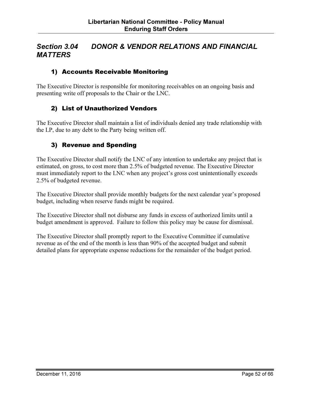## Section 3.04 DONOR & VENDOR RELATIONS AND FINANCIAL **MATTERS**

#### 1) Accounts Receivable Monitoring

The Executive Director is responsible for monitoring receivables on an ongoing basis and presenting write off proposals to the Chair or the LNC.

#### 2) List of Unauthorized Vendors

The Executive Director shall maintain a list of individuals denied any trade relationship with the LP, due to any debt to the Party being written off.

#### 3) Revenue and Spending

The Executive Director shall notify the LNC of any intention to undertake any project that is estimated, on gross, to cost more than 2.5% of budgeted revenue. The Executive Director must immediately report to the LNC when any project's gross cost unintentionally exceeds 2.5% of budgeted revenue.

The Executive Director shall provide monthly budgets for the next calendar year's proposed budget, including when reserve funds might be required.

The Executive Director shall not disburse any funds in excess of authorized limits until a budget amendment is approved. Failure to follow this policy may be cause for dismissal.

The Executive Director shall promptly report to the Executive Committee if cumulative revenue as of the end of the month is less than 90% of the accepted budget and submit detailed plans for appropriate expense reductions for the remainder of the budget period.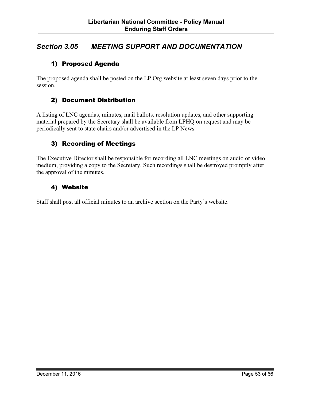## Section 3.05 MEETING SUPPORT AND DOCUMENTATION

#### 1) Proposed Agenda

The proposed agenda shall be posted on the LP.Org website at least seven days prior to the session.

#### 2) Document Distribution

A listing of LNC agendas, minutes, mail ballots, resolution updates, and other supporting material prepared by the Secretary shall be available from LPHQ on request and may be periodically sent to state chairs and/or advertised in the LP News.

#### 3) Recording of Meetings

The Executive Director shall be responsible for recording all LNC meetings on audio or video medium, providing a copy to the Secretary. Such recordings shall be destroyed promptly after the approval of the minutes.

#### 4) Website

Staff shall post all official minutes to an archive section on the Party's website.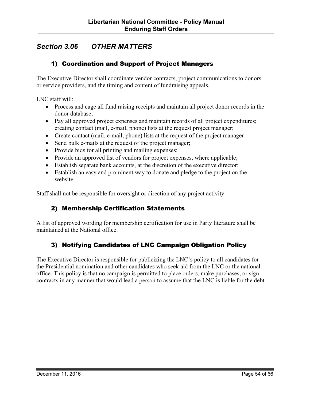## Section 3.06 OTHER MATTERS

#### 1) Coordination and Support of Project Managers

The Executive Director shall coordinate vendor contracts, project communications to donors or service providers, and the timing and content of fundraising appeals.

LNC staff will:

- Process and cage all fund raising receipts and maintain all project donor records in the donor database;
- Pay all approved project expenses and maintain records of all project expenditures; creating contact (mail, e-mail, phone) lists at the request project manager;
- Create contact (mail, e-mail, phone) lists at the request of the project manager
- Send bulk e-mails at the request of the project manager;
- Provide bids for all printing and mailing expenses;
- Provide an approved list of vendors for project expenses, where applicable;
- Establish separate bank accounts, at the discretion of the executive director;
- Establish an easy and prominent way to donate and pledge to the project on the website.

Staff shall not be responsible for oversight or direction of any project activity.

#### 2) Membership Certification Statements

A list of approved wording for membership certification for use in Party literature shall be maintained at the National office.

#### 3) Notifying Candidates of LNC Campaign Obligation Policy

The Executive Director is responsible for publicizing the LNC's policy to all candidates for the Presidential nomination and other candidates who seek aid from the LNC or the national office. This policy is that no campaign is permitted to place orders, make purchases, or sign contracts in any manner that would lead a person to assume that the LNC is liable for the debt.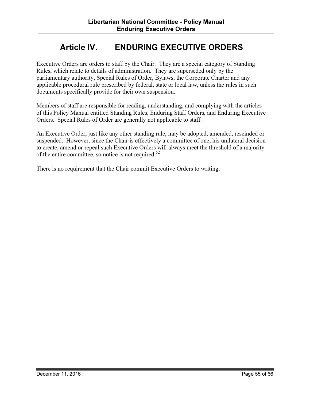## Article IV. ENDURING EXECUTIVE ORDERS

Executive Orders are orders to staff by the Chair. They are a special category of Standing Rules, which relate to details of administration. They are superseded only by the parliamentary authority, Special Rules of Order, Bylaws, the Corporate Charter and any applicable procedural rule prescribed by federal, state or local law, unless the rules in such documents specifically provide for their own suspension.

Members of staff are responsible for reading, understanding, and complying with the articles of this Policy Manual entitled Standing Rules, Enduring Staff Orders, and Enduring Executive Orders. Special Rules of Order are generally not applicable to staff.

An Executive Order, just like any other standing rule, may be adopted, amended, rescinded or suspended. However, since the Chair is effectively a committee of one, his unilateral decision to create, amend or repeal such Executive Orders will always meet the threshold of a majority of the entire committee, so notice is not required.<sup>52</sup>

There is no requirement that the Chair commit Executive Orders to writing.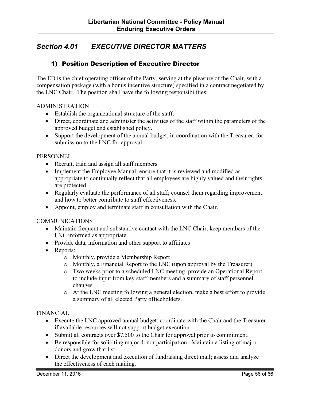## Section 4.01 EXECUTIVE DIRECTOR MATTERS

#### 1) Position Description of Executive Director

The ED is the chief operating officer of the Party, serving at the pleasure of the Chair, with a compensation package (with a bonus incentive structure) specified in a contract negotiated by the LNC Chair. The position shall have the following responsibilities:

#### ADMINISTRATION

- Establish the organizational structure of the staff.
- Direct, coordinate and administer the activities of the staff within the parameters of the approved budget and established policy.
- Support the development of the annual budget, in coordination with the Treasurer, for submission to the LNC for approval.

#### **PERSONNEL**

- Recruit, train and assign all staff members
- Implement the Employee Manual; ensure that it is reviewed and modified as appropriate to continually reflect that all employees are highly valued and their rights are protected.
- Regularly evaluate the performance of all staff; counsel them regarding improvement and how to better contribute to staff effectiveness.
- Appoint, employ and terminate staff in consultation with the Chair.

#### COMMUNICATIONS

- Maintain frequent and substantive contact with the LNC Chair; keep members of the LNC informed as appropriate
- Provide data, information and other support to affiliates
- Reports:
	- o Monthly, provide a Membership Report
	- o Monthly, a Financial Report to the LNC (upon approval by the Treasurer).
	- o Two weeks prior to a scheduled LNC meeting, provide an Operational Report to include input from key staff members and a summary of staff personnel changes.
	- o At the LNC meeting following a general election, make a best effort to provide a summary of all elected Party officeholders.

#### FINANCIAL

- Execute the LNC approved annual budget; coordinate with the Chair and the Treasurer if available resources will not support budget execution.
- Submit all contracts over \$7,500 to the Chair for approval prior to commitment.
- Be responsible for soliciting major donor participation. Maintain a listing of major donors and grow that list.
- Direct the development and execution of fundraising direct mail; assess and analyze the effectiveness of each mailing.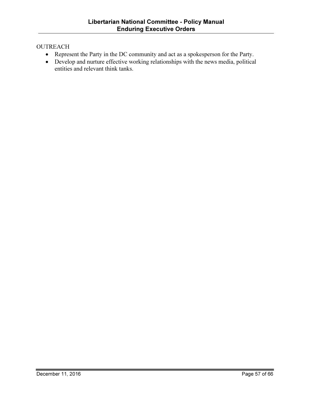#### **OUTREACH**

- Represent the Party in the DC community and act as a spokesperson for the Party.
- Develop and nurture effective working relationships with the news media, political entities and relevant think tanks.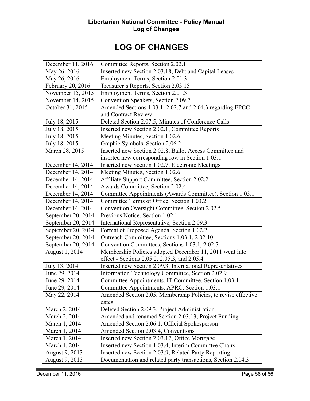# LOG OF CHANGES

| December 11, 2016  | Committee Reports, Section 2.02.1                              |
|--------------------|----------------------------------------------------------------|
| May 26, 2016       | Inserted new Section 2.03.18, Debt and Capital Leases          |
| May 26, 2016       | Employment Terms, Section 2.01.3                               |
| February 20, 2016  | Treasurer's Reports, Section 2.03.15                           |
| November 15, 2015  | Employment Terms, Section 2.01.3                               |
| November 14, 2015  | Convention Speakers, Section 2.09.7                            |
| October 31, 2015   | Amended Sections 1.03.1, 2.02.7 and 2.04.3 regarding EPCC      |
|                    | and Contract Review                                            |
| July 18, 2015      | Deleted Section 2.07.5, Minutes of Conference Calls            |
| July 18, 2015      | Inserted new Section 2.02.1, Committee Reports                 |
| July 18, 2015      | Meeting Minutes, Section 1.02.6                                |
| July 18, 2015      | Graphic Symbols, Section 2.06.2                                |
| March 28, 2015     | Inserted new Section 2.02.8, Ballot Access Committee and       |
|                    | inserted new corresponding row in Section 1.03.1               |
| December 14, 2014  | Inserted new Section 1.02.7, Electronic Meetings               |
| December 14, 2014  | Meeting Minutes, Section 1.02.6                                |
| December 14, 2014  | Affiliate Support Committee, Section 2.02.2                    |
| December 14, 2014  | Awards Committee, Section 2.02.4                               |
| December 14, 2014  | Committee Appointments (Awards Committee), Section 1.03.1      |
| December 14, 2014  | Committee Terms of Office, Section 1.03.2                      |
| December 14, 2014  | Convention Oversight Committee, Section 2.02.5                 |
| September 20, 2014 | Previous Notice, Section 1.02.1                                |
| September 20, 2014 | International Representative, Section 2.09.3                   |
| September 20, 2014 | Format of Proposed Agenda, Section 1.02.2                      |
| September 20, 2014 | Outreach Committee, Sections 1.03.1, 2.02.10                   |
| September 20, 2014 | Convention Committees, Sections 1.03.1, 2.02.5                 |
| August 1, 2014     | Membership Policies adopted December 11, 2011 went into        |
|                    | effect - Sections 2.05.2, 2.05.3, and 2.05.4                   |
| July 13, 2014      | Inserted new Section 2.09.3, International Representatives     |
| June 29, 2014      | Information Technology Committee, Section 2.02.9               |
| June 29, 2014      | Committee Appointments, IT Committee, Section 1.03.1           |
| June 29, 2014      | Committee Appointments, APRC, Section 1.03.1                   |
| May 22, 2014       | Amended Section 2.05, Membership Policies, to revise effective |
|                    | dates                                                          |
| March 2, 2014      | Deleted Section 2.09.3, Project Administration                 |
| March 2, 2014      | Amended and renamed Section 2.03.13, Project Funding           |
| March 1, 2014      | Amended Section 2.06.1, Official Spokesperson                  |
| March 1, 2014      | Amended Section 2.03.4, Conventions                            |
| March 1, 2014      | Inserted new Section 2.03.17, Office Mortgage                  |
| March 1, 2014      | Inserted new Section 1.03.4, Interim Committee Chairs          |
| August 9, 2013     | Inserted new Section 2.03.9, Related Party Reporting           |
| August 9, 2013     | Documentation and related party transactions, Section 2.04.3   |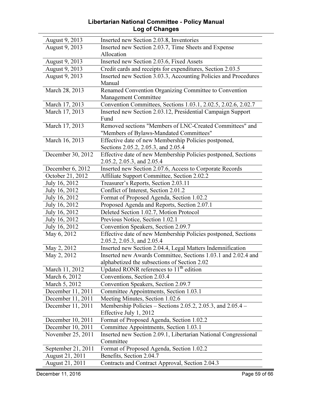#### Libertarian National Committee - Policy Manual Log of Changes

| August 9, 2013     | Inserted new Section 2.03.8, Inventories                        |
|--------------------|-----------------------------------------------------------------|
| August 9, 2013     | Inserted new Section 2.03.7, Time Sheets and Expense            |
|                    | Allocation                                                      |
| August 9, 2013     | Inserted new Section 2.03.6, Fixed Assets                       |
| August 9, 2013     | Credit cards and receipts for expenditures, Section 2.03.5      |
| August 9, 2013     | Inserted new Section 3.03.3, Accounting Policies and Procedures |
|                    | Manual                                                          |
| March 28, 2013     | Renamed Convention Organizing Committee to Convention           |
|                    | Management Committee                                            |
| March 17, 2013     | Convention Committees, Sections 1.03.1, 2.02.5, 2.02.6, 2.02.7  |
| March 17, 2013     | Inserted new Section 2.03.12, Presidential Campaign Support     |
|                    | Fund                                                            |
| March 17, 2013     | Removed sections "Members of LNC-Created Committees" and        |
|                    | "Members of Bylaws-Mandated Committees"                         |
| March 16, 2013     | Effective date of new Membership Policies postponed,            |
|                    | Sections 2.05.2, 2.05.3, and 2.05.4                             |
| December 30, 2012  | Effective date of new Membership Policies postponed, Sections   |
|                    | 2.05.2, 2.05.3, and 2.05.4                                      |
| December 6, 2012   | Inserted new Section 2.07.6, Access to Corporate Records        |
| October 21, 2012   | Affiliate Support Committee, Section 2.02.2                     |
| July 16, 2012      | Treasurer's Reports, Section 2.03.11                            |
| July 16, 2012      | Conflict of Interest, Section 2.01.2                            |
| July 16, 2012      | Format of Proposed Agenda, Section 1.02.2                       |
| July 16, 2012      | Proposed Agenda and Reports, Section 2.07.1                     |
| July 16, 2012      | Deleted Section 1.02.7, Motion Protocol                         |
| July 16, 2012      | Previous Notice, Section 1.02.1                                 |
| July 16, 2012      | Convention Speakers, Section 2.09.7                             |
| May 6, 2012        | Effective date of new Membership Policies postponed, Sections   |
|                    | 2.05.2, 2.05.3, and 2.05.4                                      |
| May 2, 2012        | Inserted new Section 2.04.4, Legal Matters Indemnification      |
| May 2, 2012        | Inserted new Awards Committee, Sections 1.03.1 and 2.02.4 and   |
|                    | alphabetized the subsections of Section 2.02                    |
| March 11, 2012     | Updated RONR references to 11 <sup>th</sup> edition             |
| March 6, 2012      | Conventions, Section 2.03.4                                     |
| March 5, 2012      | Convention Speakers, Section 2.09.7                             |
| December 11, 2011  | Committee Appointments, Section 1.03.1                          |
| December 11, 2011  | Meeting Minutes, Section 1.02.6                                 |
| December 11, 2011  | Membership Policies – Sections 2.05.2, 2.05.3, and $2.05.4$ –   |
|                    | Effective July 1, 2012                                          |
| December 10, 2011  | Format of Proposed Agenda, Section 1.02.2                       |
| December 10, 2011  | Committee Appointments, Section 1.03.1                          |
| November 25, 2011  | Inserted new Section 2.09.1, Libertarian National Congressional |
|                    | Committee                                                       |
| September 21, 2011 | Format of Proposed Agenda, Section 1.02.2                       |
| August 21, 2011    | Benefits, Section 2.04.7                                        |
| August 21, 2011    | Contracts and Contract Approval, Section 2.04.3                 |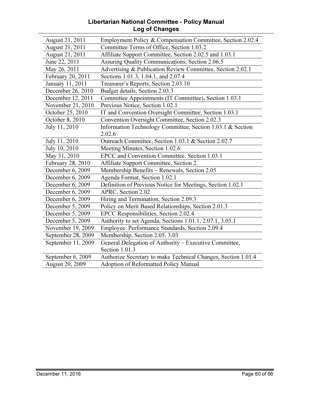#### Libertarian National Committee - Policy Manual Log of Changes

| August 21, 2011    | Employment Policy & Compensation Committee, Section 2.02.4    |
|--------------------|---------------------------------------------------------------|
| August 21, 2011    | Committee Terms of Office, Section 1.03.2                     |
| August 21, 2011    | Affiliate Support Committee, Section 2.02.5 and 1.03.1        |
| June 22, 2011      | Assuring Quality Communications, Section 2.06.5               |
| May 26, 2011       | Advertising & Publication Review Committee, Section 2.02.1    |
| February 20, 2011  | Sections 1.01.3, 1.04.1, and 2.07.4                           |
| January 11, 2011   | Treasurer's Reports, Section 2.03.10                          |
| December 26, 2010  | Budget details, Section 2.03.3                                |
| December 12, 2011  | Committee Appointments (IT Committee), Section 1.03.1         |
| November 21, 2010  | Previous Notice, Section 1.02.1                               |
| October 25, 2010   | IT and Convention Oversight Committee, Section 1.03.1         |
| October 8, 2010    | Convention Oversight Committee, Section 2.02.3                |
| July 11, 2010      | Information Technology Committee, Section 1.03.1 & Section    |
|                    | 2.02.6                                                        |
| July 11, 2010      | Outreach Committee, Section 1.03.1 & Section 2.02.7           |
| July 10, 2010      | Meeting Minutes, Section 1.02.6                               |
| May 31, 2010       | EPCC and Convention Committee, Section 1.03.1                 |
| February 28, 2010  | Affiliate Support Committee, Section 2.                       |
| December 6, 2009   | Membership Benefits - Renewals, Section 2.05                  |
| December 6, 2009   | Agenda Format, Section 1.02.1                                 |
| December 6, 2009   | Definition of Previous Notice for Meetings, Section 1.02.1    |
| December 6, 2009   | APRC, Section 2.02                                            |
| December 6, 2009   | Hiring and Termination, Section 2.09.3                        |
| December 5, 2009   | Policy on Merit Based Relationships, Section 2.01.3           |
| December 5, 2009   | EPCC Responsibilities, Section 2.02.4                         |
| December 5, 2009   | Authority to set Agenda, Sections 1.01.1, 2.07.1, 3.05.1      |
| November 19, 2009  | Employee Performance Standards, Section 2.09.4                |
| September 28, 2009 | Membership, Section 2.05, 3.03                                |
| September 11, 2009 | General Delegation of Authority - Executive Committee,        |
|                    | Section 1.01.3                                                |
| September 6, 2009  | Authorize Secretary to make Technical Changes, Section 1.01.4 |
| August 20, 2009    | <b>Adoption of Reformatted Policy Manual</b>                  |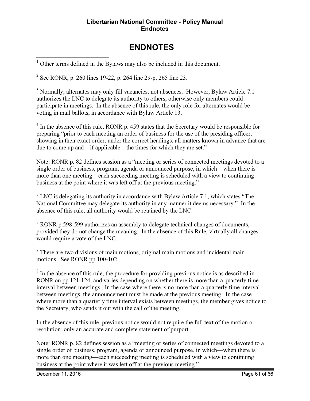#### Libertarian National Committee - Policy Manual **Endnotes**

## ENDNOTES

<sup>1</sup> Other terms defined in the Bylaws may also be included in this document.

<sup>2</sup> See RONR, p. 260 lines 19-22, p. 264 line 29-p. 265 line 23.

<u>.</u>

<sup>3</sup> Normally, alternates may only fill vacancies, not absences. However, Bylaw Article 7.1 authorizes the LNC to delegate its authority to others, otherwise only members could participate in meetings. In the absence of this rule, the only role for alternates would be voting in mail ballots, in accordance with Bylaw Article 13.

<sup>4</sup> In the absence of this rule, RONR p. 459 states that the Secretary would be responsible for preparing "prior to each meeting an order of business for the use of the presiding officer, showing in their exact order, under the correct headings, all matters known in advance that are due to come up and – if applicable – the times for which they are set."

Note: RONR p. 82 defines session as a "meeting or series of connected meetings devoted to a single order of business, program, agenda or announced purpose, in which—when there is more than one meeting—each succeeding meeting is scheduled with a view to continuing business at the point where it was left off at the previous meeting."

 $<sup>5</sup>$  LNC is delegating its authority in accordance with Bylaw Article 7.1, which states "The</sup> National Committee may delegate its authority in any manner it deems necessary." In the absence of this rule, all authority would be retained by the LNC.

<sup>6</sup> RONR p.598-599 authorizes an assembly to delegate technical changes of documents, provided they do not change the meaning. In the absence of this Rule, virtually all changes would require a vote of the LNC.

 $7$  There are two divisions of main motions, original main motions and incidental main motions. See RONR pp.100-102.

<sup>8</sup> In the absence of this rule, the procedure for providing previous notice is as described in RONR on pp.121-124, and varies depending on whether there is more than a quarterly time interval between meetings. In the case where there is no more than a quarterly time interval between meetings, the announcement must be made at the previous meeting. In the case where more than a quarterly time interval exists between meetings, the member gives notice to the Secretary, who sends it out with the call of the meeting.

In the absence of this rule, previous notice would not require the full text of the motion or resolution, only an accurate and complete statement of purport.

Note: RONR p. 82 defines session as a "meeting or series of connected meetings devoted to a single order of business, program, agenda or announced purpose, in which—when there is more than one meeting—each succeeding meeting is scheduled with a view to continuing business at the point where it was left off at the previous meeting."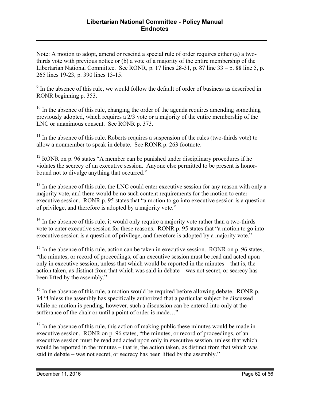Note: A motion to adopt, amend or rescind a special rule of order requires either (a) a twothirds vote with previous notice or (b) a vote of a majority of the entire membership of the Libertarian National Committee. See RONR, p. 17 lines 28-31, p. 87 line 33 – p. 88 line 5, p. 265 lines 19-23, p. 390 lines 13-15.

<sup>9</sup> In the absence of this rule, we would follow the default of order of business as described in RONR beginning p. 353.

 $10$  In the absence of this rule, changing the order of the agenda requires amending something previously adopted, which requires a 2/3 vote or a majority of the entire membership of the LNC or unanimous consent. See RONR p. 373.

 $11$  In the absence of this rule, Roberts requires a suspension of the rules (two-thirds vote) to allow a nonmember to speak in debate. See RONR p. 263 footnote.

 $12$  RONR on p. 96 states "A member can be punished under disciplinary procedures if he violates the secrecy of an executive session. Anyone else permitted to be present is honorbound not to divulge anything that occurred."

<sup>13</sup> In the absence of this rule, the LNC could enter executive session for any reason with only a majority vote, and there would be no such content requirements for the motion to enter executive session. RONR p. 95 states that "a motion to go into executive session is a question of privilege, and therefore is adopted by a majority vote."

<sup>14</sup> In the absence of this rule, it would only require a majority vote rather than a two-thirds vote to enter executive session for these reasons. RONR p. 95 states that "a motion to go into executive session is a question of privilege, and therefore is adopted by a majority vote."

 $15$  In the absence of this rule, action can be taken in executive session. RONR on p. 96 states, "the minutes, or record of proceedings, of an executive session must be read and acted upon only in executive session, unless that which would be reported in the minutes – that is, the action taken, as distinct from that which was said in debate – was not secret, or secrecy has been lifted by the assembly."

 $16$  In the absence of this rule, a motion would be required before allowing debate. RONR p. 34 "Unless the assembly has specifically authorized that a particular subject be discussed while no motion is pending, however, such a discussion can be entered into only at the sufferance of the chair or until a point of order is made…"

 $17$  In the absence of this rule, this action of making public these minutes would be made in executive session. RONR on p. 96 states, "the minutes, or record of proceedings, of an executive session must be read and acted upon only in executive session, unless that which would be reported in the minutes – that is, the action taken, as distinct from that which was said in debate – was not secret, or secrecy has been lifted by the assembly."

<u>.</u>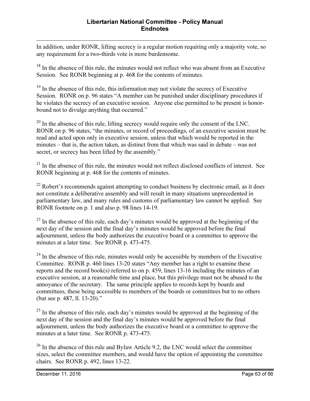In addition, under RONR, lifting secrecy is a regular motion requiring only a majority vote, so any requirement for a two-thirds vote is more burdensome.

<sup>18</sup> In the absence of this rule, the minutes would not reflect who was absent from an Executive Session. See RONR beginning at p. 468 for the contents of minutes.

<sup>19</sup> In the absence of this rule, this information may not violate the secrecy of Executive Session. RONR on p. 96 states "A member can be punished under disciplinary procedures if he violates the secrecy of an executive session. Anyone else permitted to be present is honorbound not to divulge anything that occurred."

 $20$  In the absence of this rule, lifting secrecy would require only the consent of the LNC. RONR on p. 96 states, "the minutes, or record of proceedings, of an executive session must be read and acted upon only in executive session, unless that which would be reported in the minutes – that is, the action taken, as distinct from that which was said in debate – was not secret, or secrecy has been lifted by the assembly."

 $21$  In the absence of this rule, the minutes would not reflect disclosed conflicts of interest. See RONR beginning at p. 468 for the contents of minutes.

 $22$  Robert's recommends against attempting to conduct business by electronic email, as it does not constitute a deliberative assembly and will result in many situations unprecedented in parliamentary law, and many rules and customs of parliamentary law cannot be applied. See RONR footnote on p. 1 and also p. 98 lines 14-19.

 $23$  In the absence of this rule, each day's minutes would be approved at the beginning of the next day of the session and the final day's minutes would be approved before the final adjournment, unless the body authorizes the executive board or a committee to approve the minutes at a later time. See RONR p. 473-475.

 $^{24}$  In the absence of this rule, minutes would only be accessible by members of the Executive Committee. RONR p. 460 lines 13-20 states "Any member has a right to examine these reports and the record book(s) referred to on p. 459, lines 13-16 including the minutes of an executive session, at a reasonable time and place, but this privilege must not be abused to the annoyance of the secretary. The same principle applies to records kept by boards and committees, these being accessible to members of the boards or committees but to no others (but see p. 487, ll. 13-20)."

 $^{25}$  In the absence of this rule, each day's minutes would be approved at the beginning of the next day of the session and the final day's minutes would be approved before the final adjournment, unless the body authorizes the executive board or a committee to approve the minutes at a later time. See RONR p. 473-475.

 $26$  In the absence of this rule and Bylaw Article 9.2, the LNC would select the committee sizes, select the committee members, and would have the option of appointing the committee chairs. See RONR p. 492, lines 13-22.

<u>.</u>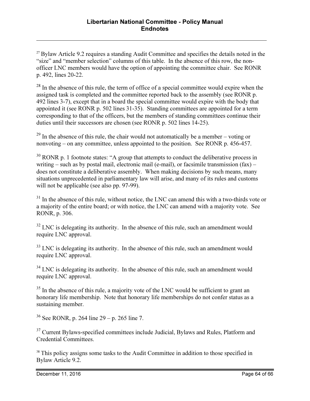$27$  Bylaw Article 9.2 requires a standing Audit Committee and specifies the details noted in the "size" and "member selection" columns of this table. In the absence of this row, the nonofficer LNC members would have the option of appointing the committee chair. See RONR p. 492, lines 20-22.

 $28$  In the absence of this rule, the term of office of a special committee would expire when the assigned task is completed and the committee reported back to the assembly (see RONR p. 492 lines 3-7), except that in a board the special committee would expire with the body that appointed it (see RONR p. 502 lines 31-35). Standing committees are appointed for a term corresponding to that of the officers, but the members of standing committees continue their duties until their successors are chosen (see RONR p. 502 lines 14-25).

 $^{29}$  In the absence of this rule, the chair would not automatically be a member – voting or nonvoting – on any committee, unless appointed to the position. See RONR p. 456-457.

 $30$  RONR p. 1 footnote states: "A group that attempts to conduct the deliberative process in writing – such as by postal mail, electronic mail (e-mail), or facsimile transmission  $(fax)$  – does not constitute a deliberative assembly. When making decisions by such means, many situations unprecedented in parliamentary law will arise, and many of its rules and customs will not be applicable (see also pp. 97-99).

 $31$  In the absence of this rule, without notice, the LNC can amend this with a two-thirds vote or a majority of the entire board; or with notice, the LNC can amend with a majority vote. See RONR, p. 306.

 $32$  LNC is delegating its authority. In the absence of this rule, such an amendment would require LNC approval.

 $33$  LNC is delegating its authority. In the absence of this rule, such an amendment would require LNC approval.

 $34$  LNC is delegating its authority. In the absence of this rule, such an amendment would require LNC approval.

 $35$  In the absence of this rule, a majority vote of the LNC would be sufficient to grant an honorary life membership. Note that honorary life memberships do not confer status as a sustaining member.

 $36$  See RONR, p. 264 line 29 – p. 265 line 7.

<sup>37</sup> Current Bylaws-specified committees include Judicial, Bylaws and Rules, Platform and Credential Committees.

<sup>38</sup> This policy assigns some tasks to the Audit Committee in addition to those specified in Bylaw Article 9.2.

<u>.</u>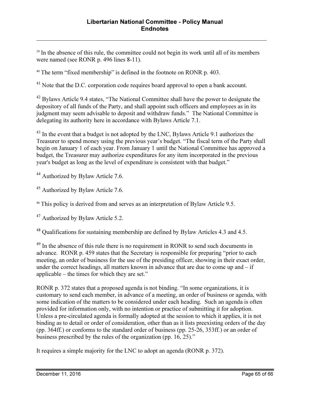<sup>39</sup> In the absence of this rule, the committee could not begin its work until all of its members were named (see RONR p. 496 lines 8-11).

<sup>40</sup> The term "fixed membership" is defined in the footnote on RONR p. 403.

<sup>41</sup> Note that the D.C. corporation code requires board approval to open a bank account.

<sup>42</sup> Bylaws Article 9.4 states, "The National Committee shall have the power to designate the depository of all funds of the Party, and shall appoint such officers and employees as in its judgment may seem advisable to deposit and withdraw funds." The National Committee is delegating its authority here in accordance with Bylaws Article 7.1.

<sup>43</sup> In the event that a budget is not adopted by the LNC, Bylaws Article 9.1 authorizes the Treasurer to spend money using the previous year's budget. "The fiscal term of the Party shall begin on January 1 of each year. From January 1 until the National Committee has approved a budget, the Treasurer may authorize expenditures for any item incorporated in the previous year's budget as long as the level of expenditure is consistent with that budget."

<sup>44</sup> Authorized by Bylaw Article 7.6.

<u>.</u>

<sup>45</sup> Authorized by Bylaw Article 7.6.

<sup>46</sup> This policy is derived from and serves as an interpretation of Bylaw Article 9.5.

<sup>47</sup> Authorized by Bylaw Article 5.2.

<sup>48</sup> Qualifications for sustaining membership are defined by Bylaw Articles 4.3 and 4.5.

<sup>49</sup> In the absence of this rule there is no requirement in RONR to send such documents in advance. RONR p. 459 states that the Secretary is responsible for preparing "prior to each meeting, an order of business for the use of the presiding officer, showing in their exact order, under the correct headings, all matters known in advance that are due to come up and  $-$  if applicable – the times for which they are set."

RONR p. 372 states that a proposed agenda is not binding. "In some organizations, it is customary to send each member, in advance of a meeting, an order of business or agenda, with some indication of the matters to be considered under each heading. Such an agenda is often provided for information only, with no intention or practice of submitting it for adoption. Unless a pre-circulated agenda is formally adopted at the session to which it applies, it is not binding as to detail or order of consideration, other than as it lists preexisting orders of the day (pp. 364ff.) or conforms to the standard order of business (pp. 25-26, 353ff.) or an order of business prescribed by the rules of the organization (pp. 16, 25)."

It requires a simple majority for the LNC to adopt an agenda (RONR p. 372).